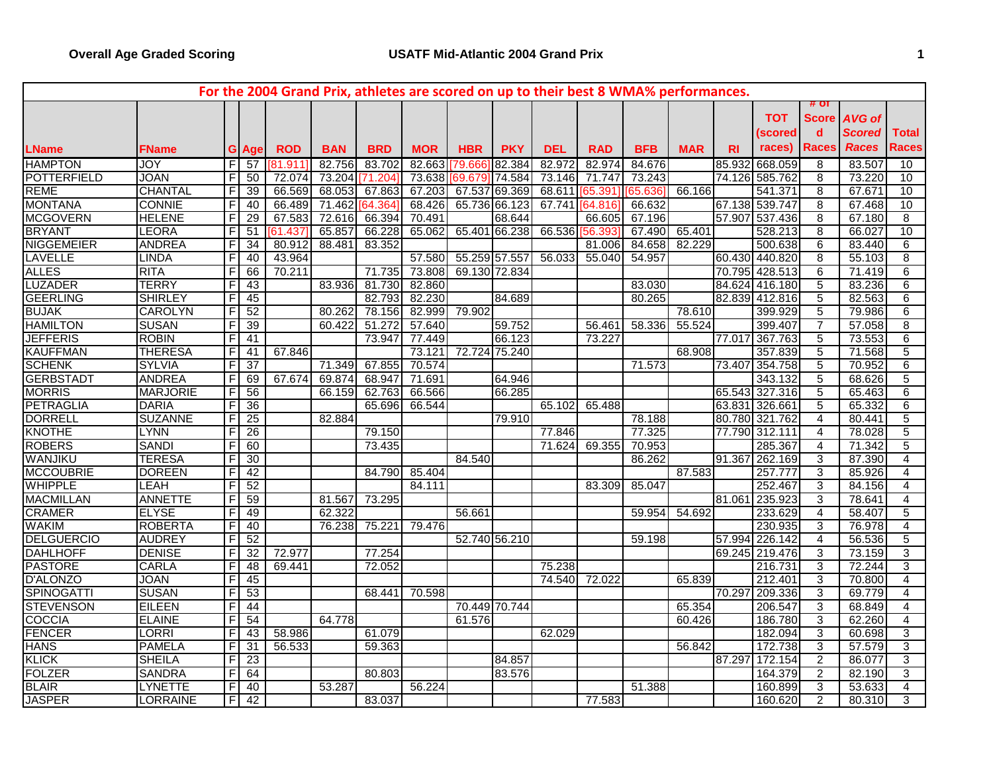|                    |                 |   |                 |                  |            |            |            |               |               |            | For the 2004 Grand Prix, athletes are scored on up to their best 8 WMA% performances. |            |            |           |                |                |               |                 |
|--------------------|-----------------|---|-----------------|------------------|------------|------------|------------|---------------|---------------|------------|---------------------------------------------------------------------------------------|------------|------------|-----------|----------------|----------------|---------------|-----------------|
|                    |                 |   |                 |                  |            |            |            |               |               |            |                                                                                       |            |            |           |                | $#$ OT         |               |                 |
|                    |                 |   |                 |                  |            |            |            |               |               |            |                                                                                       |            |            |           | <b>TOT</b>     | <b>Score</b>   | AVG of        |                 |
|                    |                 |   |                 |                  |            |            |            |               |               |            |                                                                                       |            |            |           | (scored        | $\mathbf d$    | <b>Scored</b> | <b>Total</b>    |
| <b>LName</b>       | <b>FName</b>    |   | <b>G</b> Age    | <b>ROD</b>       | <b>BAN</b> | <b>BRD</b> | <b>MOR</b> | <b>HBR</b>    | <b>PKY</b>    | <b>DEL</b> | <b>RAD</b>                                                                            | <b>BFB</b> | <b>MAR</b> | <b>RI</b> | races)         | <b>Races</b>   | <b>Races</b>  | Races           |
| <b>HAMPTON</b>     | JOY             | F | 57              | $181.91^{\circ}$ | 82.756     | 83.702     | 82.663     | [79.666       | 82.384        | 82.972     | 82.974                                                                                | 84.676     |            | 85.932    | 668.059        | $\overline{8}$ | 83.507        | 10              |
| <b>POTTERFIELD</b> | <b>JOAN</b>     | F | 50              | 72.074           | 73.204     | [71.204]   | 73.638     | 69.679 74.584 |               | 73.146     | 71.747                                                                                | 73.243     |            | 74.126    | 585.762        | 8              | 73.220        | 10              |
| <b>REME</b>        | <b>CHANTAL</b>  |   | 39              | 66.569           | 68.053     | 67.863     | 67.203     | 67.537 69.369 |               | 68.611     | 65.391                                                                                | 65.636     | 66.166     |           | 541.371        | 8              | 67.671        | 10              |
| <b>MONTANA</b>     | <b>CONNIE</b>   |   | 40              | 66.489           | 71.462     | 64.364     | 68.426     | 65.736 66.123 |               | 67.741     | 64.816                                                                                | 66.632     |            |           | 67.138 539.747 | 8              | 67.468        | 10              |
| <b>MCGOVERN</b>    | <b>HELENE</b>   | F | 29              | 67.583           | 72.616     | 66.394     | 70.491     |               | 68.644        |            | 66.605                                                                                | 67.196     |            |           | 57.907 537.436 | 8              | 67.180        | 8               |
| <b>BRYANT</b>      | <b>LEORA</b>    | F | 51              | 61.437           | 65.857     | 66.228     | 65.062     |               | 65.401 66.238 | 66.536     | 56.393                                                                                | 67.490     | 65.401     |           | 528.213        | 8              | 66.027        | 10              |
| <b>NIGGEMEIER</b>  | <b>ANDREA</b>   | F | $\overline{34}$ | 80.912           | 88.481     | 83.352     |            |               |               |            | 81.006                                                                                | 84.658     | 82.229     |           | 500.638        | 6              | 83.440        | 6               |
| <b>LAVELLE</b>     | LINDA           |   | 40              | 43.964           |            |            | 57.580     | 55.259 57.557 |               | 56.033     | 55.040                                                                                | 54.957     |            |           | 60.430 440.820 | 8              | 55.103        | 8               |
| <b>ALLES</b>       | <b>RITA</b>     |   | 66              | 70.211           |            | 71.735     | 73.808     | 69.130 72.834 |               |            |                                                                                       |            |            |           | 70.795 428.513 | 6              | 71.419        | 6               |
| <b>LUZADER</b>     | <b>TERRY</b>    |   | 43              |                  | 83.936     | 81.730     | 82.860     |               |               |            |                                                                                       | 83.030     |            |           | 84.624 416.180 | 5              | 83.236        | 6               |
| <b>GEERLING</b>    | <b>SHIRLEY</b>  |   | 45              |                  |            | 82.793     | 82.230     |               | 84.689        |            |                                                                                       | 80.265     |            |           | 82.839 412.816 | 5              | 82.563        | 6               |
| <b>BUJAK</b>       | <b>CAROLYN</b>  | F | 52              |                  | 80.262     | 78.156     | 82.999     | 79.902        |               |            |                                                                                       |            | 78.610     |           | 399.929        | 5              | 79.986        | 6               |
| <b>HAMILTON</b>    | <b>SUSAN</b>    |   | 39              |                  | 60.422     | 51.272     | 57.640     |               | 59.752        |            | 56.461                                                                                | 58.336     | 55.524     |           | 399.407        | $\overline{7}$ | 57.058        | $\overline{8}$  |
| <b>JEFFERIS</b>    | <b>ROBIN</b>    |   | 41              |                  |            | 73.947     | 77.449     |               | 66.123        |            | 73.227                                                                                |            |            | 77.017    | 367.763        | 5              | 73.553        | $6\overline{6}$ |
| <b>KAUFFMAN</b>    | <b>THERESA</b>  |   | $\overline{41}$ | 67.846           |            |            | 73.121     | 72.724 75.240 |               |            |                                                                                       |            | 68.908     |           | 357.839        | 5              | 71.568        | 5               |
| <b>SCHENK</b>      | <b>SYLVIA</b>   | F | 37              |                  | 71.349     | 67.855     | 70.574     |               |               |            |                                                                                       | 71.573     |            |           | 73.407 354.758 | $\overline{5}$ | 70.952        | 6               |
| <b>GERBSTADT</b>   | <b>ANDREA</b>   |   | 69              | 67.674           | 69.874     | 68.947     | 71.691     |               | 64.946        |            |                                                                                       |            |            |           | 343.132        | 5              | 68.626        | 5               |
| <b>MORRIS</b>      | <b>MARJORIE</b> |   | 56              |                  | 66.159     | 62.763     | 66.566     |               | 66.285        |            |                                                                                       |            |            |           | 65.543 327.316 | $\overline{5}$ | 65.463        | 6               |
| <b>PETRAGLIA</b>   | <b>DARIA</b>    | F | 36              |                  |            | 65.696     | 66.544     |               |               | 65.102     | 65.488                                                                                |            |            |           | 63.831 326.661 | 5              | 65.332        | 6               |
| <b>DORRELL</b>     | <b>SUZANNE</b>  |   | 25              |                  | 82.884     |            |            |               | 79.910        |            |                                                                                       | 78.188     |            |           | 80.780 321.762 | $\overline{4}$ | 80.441        | 5               |
| <b>KNOTHE</b>      | <b>LYNN</b>     | F | 26              |                  |            | 79.150     |            |               |               | 77.846     |                                                                                       | 77.325     |            |           | 77.790 312.111 | $\overline{4}$ | 78.028        | $\overline{5}$  |
| <b>ROBERS</b>      | <b>SANDI</b>    |   | 60              |                  |            | 73.435     |            |               |               | 71.624     | 69.355                                                                                | 70.953     |            |           | 285.367        | 4              | 71.342        | 5               |
| WANJIKU            | <b>TERESA</b>   |   | 30              |                  |            |            |            | 84.540        |               |            |                                                                                       | 86.262     |            |           | 91.367 262.169 | 3              | 87.390        | $\overline{4}$  |
| <b>MCCOUBRIE</b>   | <b>DOREEN</b>   | F | 42              |                  |            | 84.790     | 85.404     |               |               |            |                                                                                       |            | 87.583     |           | 257.777        | 3              | 85.926        | $\overline{4}$  |
| WHIPPLE            | <b>LEAH</b>     | F | 52              |                  |            |            | 84.111     |               |               |            | 83.309                                                                                | 85.047     |            |           | 252.467        | 3              | 84.156        | 4               |
| <b>MACMILLAN</b>   | <b>ANNETTE</b>  | F | 59              |                  | 81.567     | 73.295     |            |               |               |            |                                                                                       |            |            |           | 81.061 235.923 | 3              | 78.641        | 4               |
| <b>CRAMER</b>      | <b>ELYSE</b>    |   | 49              |                  | 62.322     |            |            | 56.661        |               |            |                                                                                       | 59.954     | 54.692     |           | 233.629        | 4              | 58.407        | 5               |
| WAKIM              | <b>ROBERTA</b>  |   | 40              |                  | 76.238     | 75.221     | 79.476     |               |               |            |                                                                                       |            |            |           | 230.935        | 3              | 76.978        | $\overline{4}$  |
| <b>DELGUERCIO</b>  | <b>AUDREY</b>   | F | 52              |                  |            |            |            | 52.740 56.210 |               |            |                                                                                       | 59.198     |            |           | 57.994 226.142 | $\overline{4}$ | 56.536        | 5               |
| <b>DAHLHOFF</b>    | <b>DENISE</b>   |   | 32              | 72.977           |            | 77.254     |            |               |               |            |                                                                                       |            |            |           | 69.245 219.476 | 3              | 73.159        | 3               |
| <b>PASTORE</b>     | <b>CARLA</b>    |   | 48              | 69.441           |            | 72.052     |            |               |               | 75.238     |                                                                                       |            |            |           | 216.731        | 3              | 72.244        | 3               |
| <b>D'ALONZO</b>    | <b>JOAN</b>     |   | 45              |                  |            |            |            |               |               | 74.540     | 72.022                                                                                |            | 65.839     |           | 212.401        | $\overline{3}$ | 70.800        | 4               |
| <b>SPINOGATTI</b>  | <b>SUSAN</b>    | F | 53              |                  |            | 68.441     | 70.598     |               |               |            |                                                                                       |            |            | 70.297    | 209.336        | 3              | 69.779        | $\overline{4}$  |
| <b>STEVENSON</b>   | <b>EILEEN</b>   |   | 44              |                  |            |            |            | 70.449 70.744 |               |            |                                                                                       |            | 65.354     |           | 206.547        | 3              | 68.849        | $\overline{4}$  |
| COCCIA             | <b>ELAINE</b>   | F | 54              |                  | 64.778     |            |            | 61.576        |               |            |                                                                                       |            | 60.426     |           | 186.780        | 3              | 62.260        | 4               |
| <b>FENCER</b>      | <b>LORRI</b>    |   | 43              | 58.986           |            | 61.079     |            |               |               | 62.029     |                                                                                       |            |            |           | 182.094        | 3              | 60.698        | 3               |
| <b>HANS</b>        | <b>PAMELA</b>   |   | 31              | 56.533           |            | 59.363     |            |               |               |            |                                                                                       |            | 56.842     |           | 172.738        | 3              | 57.579        | 3               |
| <b>KLICK</b>       | <b>SHEILA</b>   | F | 23              |                  |            |            |            |               | 84.857        |            |                                                                                       |            |            | 87.297    | 172.154        | $\overline{2}$ | 86.077        | 3               |
| <b>FOLZER</b>      | <b>SANDRA</b>   | F | 64              |                  |            | 80.803     |            |               | 83.576        |            |                                                                                       |            |            |           | 164.379        | 2              | 82.190        | 3               |
| <b>BLAIR</b>       | <b>LYNETTE</b>  | F | 40              |                  | 53.287     |            | 56.224     |               |               |            |                                                                                       | 51.388     |            |           | 160.899        | 3              | 53.633        | 4               |
| <b>JASPER</b>      | <b>LORRAINE</b> | F | 42              |                  |            | 83.037     |            |               |               |            | 77.583                                                                                |            |            |           | 160.620        | $\overline{2}$ | 80.310        | 3               |
|                    |                 |   |                 |                  |            |            |            |               |               |            |                                                                                       |            |            |           |                |                |               |                 |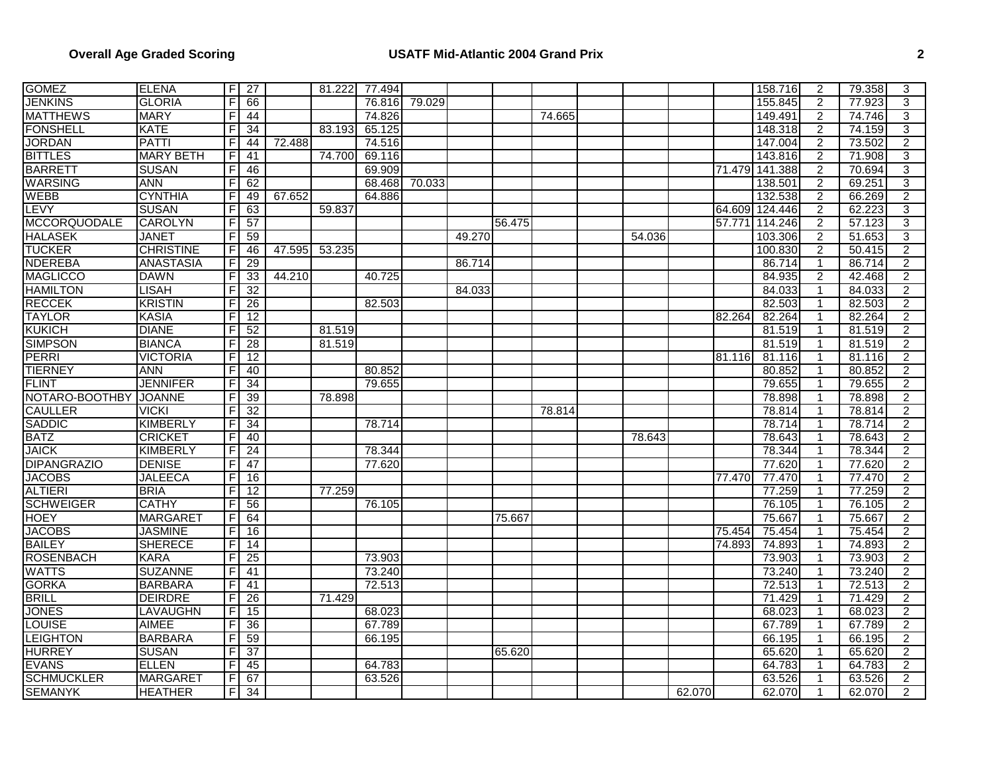| <b>GOMEZ</b>        | <b>ELENA</b>     |                | $F$ 27          |        | 81.222 | 77.494 |        |        |        |        |        |        |        | 158.716        | $\overline{2}$ | 79.358 | 3              |
|---------------------|------------------|----------------|-----------------|--------|--------|--------|--------|--------|--------|--------|--------|--------|--------|----------------|----------------|--------|----------------|
| <b>JENKINS</b>      | <b>GLORIA</b>    | F              | 66              |        |        | 76.816 | 79.029 |        |        |        |        |        |        | 155.845        | $\overline{2}$ | 77.923 | 3              |
| <b>MATTHEWS</b>     | <b>MARY</b>      | F              | 44              |        |        | 74.826 |        |        |        | 74.665 |        |        |        | 149.491        | $\overline{2}$ | 74.746 | 3              |
| <b>FONSHELL</b>     | <b>KATE</b>      | F              | 34              |        | 83.193 | 65.125 |        |        |        |        |        |        |        | 148.318        | $\overline{2}$ | 74.159 | 3              |
| <b>JORDAN</b>       | <b>PATTI</b>     | F              | 44              | 72.488 |        | 74.516 |        |        |        |        |        |        |        | 147.004        | $\overline{a}$ | 73.502 | $\overline{2}$ |
| <b>BITTLES</b>      | <b>MARY BETH</b> | F              | $\overline{41}$ |        | 74.700 | 69.116 |        |        |        |        |        |        |        | 143.816        | $\overline{2}$ | 71.908 | $\overline{3}$ |
| <b>BARRETT</b>      | <b>SUSAN</b>     | F.             | 46              |        |        | 69.909 |        |        |        |        |        |        |        | 71.479 141.388 | $\overline{c}$ | 70.694 | 3              |
| <b>WARSING</b>      | <b>ANN</b>       | F              | 62              |        |        | 68.468 | 70.033 |        |        |        |        |        |        | 138.501        | $\overline{2}$ | 69.251 | 3              |
| <b>WEBB</b>         | <b>CYNTHIA</b>   | F.             | 49              | 67.652 |        | 64.886 |        |        |        |        |        |        |        | 132.538        | $\overline{2}$ | 66.269 | $\overline{2}$ |
| LEVY                | <b>SUSAN</b>     | F              | 63              |        | 59.837 |        |        |        |        |        |        |        |        | 64.609 124.446 | $\overline{c}$ | 62.223 | $\overline{3}$ |
| <b>MCCORQUODALE</b> | <b>CAROLYN</b>   | F.             | 57              |        |        |        |        |        | 56.475 |        |        |        | 57.771 | 114.246        | $\overline{c}$ | 57.123 | 3              |
| <b>HALASEK</b>      | <b>JANET</b>     | F              | 59              |        |        |        |        | 49.270 |        |        | 54.036 |        |        | 103.306        | $\overline{2}$ | 51.653 | $\overline{3}$ |
| <b>TUCKER</b>       | <b>CHRISTINE</b> | F              | 46              | 47.595 | 53.235 |        |        |        |        |        |        |        |        | 100.830        | 2              | 50.415 | $\overline{2}$ |
| <b>NDEREBA</b>      | <b>ANASTASIA</b> | F              | 29              |        |        |        |        | 86.714 |        |        |        |        |        | 86.714         | $\mathbf{1}$   | 86.714 | $\overline{2}$ |
| <b>MAGLICCO</b>     | <b>DAWN</b>      | F              | 33              | 44.210 |        | 40.725 |        |        |        |        |        |        |        | 84.935         | $\overline{2}$ | 42.468 | $\overline{2}$ |
| <b>HAMILTON</b>     | <b>LISAH</b>     | F              | 32              |        |        |        |        | 84.033 |        |        |        |        |        | 84.033         | 1              | 84.033 | $\overline{2}$ |
| <b>RECCEK</b>       | <b>KRISTIN</b>   | F              | 26              |        |        | 82.503 |        |        |        |        |        |        |        | 82.503         | $\overline{1}$ | 82.503 | $\overline{2}$ |
| <b>TAYLOR</b>       | <b>KASIA</b>     | F              | 12              |        |        |        |        |        |        |        |        |        | 82.264 | 82.264         | 1              | 82.264 | $\overline{2}$ |
| <b>KUKICH</b>       | <b>DIANE</b>     | F              | 52              |        | 81.519 |        |        |        |        |        |        |        |        | 81.519         | -1             | 81.519 | $\overline{2}$ |
| <b>SIMPSON</b>      | <b>BIANCA</b>    | F              | 28              |        | 81.519 |        |        |        |        |        |        |        |        | 81.519         | 1              | 81.519 | $\overline{2}$ |
| <b>PERRI</b>        | <b>VICTORIA</b>  | F              | 12              |        |        |        |        |        |        |        |        |        | 81.116 | 81.116         | -1             | 81.116 | $\overline{2}$ |
| <b>TIERNEY</b>      | <b>ANN</b>       | F              | 40              |        |        | 80.852 |        |        |        |        |        |        |        | 80.852         | 1              | 80.852 | $\overline{2}$ |
| <b>FLINT</b>        | <b>JENNIFER</b>  | F              | 34              |        |        | 79.655 |        |        |        |        |        |        |        | 79.655         | $\mathbf{1}$   | 79.655 | $\overline{2}$ |
| NOTARO-BOOTHBY      | <b>JOANNE</b>    | F              | 39              |        | 78.898 |        |        |        |        |        |        |        |        | 78.898         | 1              | 78.898 | $\overline{2}$ |
| <b>CAULLER</b>      | <b>VICKI</b>     | F              | 32              |        |        |        |        |        |        | 78.814 |        |        |        | 78.814         | $\mathbf{1}$   | 78.814 | $\overline{2}$ |
| <b>SADDIC</b>       | <b>KIMBERLY</b>  | F              | 34              |        |        | 78.714 |        |        |        |        |        |        |        | 78.714         | 1              | 78.714 | $\overline{2}$ |
| <b>BATZ</b>         | <b>CRICKET</b>   | $\overline{F}$ | 40              |        |        |        |        |        |        |        | 78.643 |        |        | 78.643         | $\mathbf 1$    | 78.643 | $\overline{2}$ |
| <b>JAICK</b>        | <b>KIMBERLY</b>  | F              | 24              |        |        | 78.344 |        |        |        |        |        |        |        | 78.344         | 1              | 78.344 | $\overline{2}$ |
| <b>DIPANGRAZIO</b>  | <b>DENISE</b>    | F              | 47              |        |        | 77.620 |        |        |        |        |        |        |        | 77.620         | $\mathbf{1}$   | 77.620 | $\overline{2}$ |
| <b>JACOBS</b>       | <b>JALEECA</b>   | F              | 16              |        |        |        |        |        |        |        |        |        | 77.470 | 77.470         | 1              | 77.470 | $\overline{2}$ |
| <b>ALTIERI</b>      | <b>BRIA</b>      | F              | 12              |        | 77.259 |        |        |        |        |        |        |        |        | 77.259         | $\mathbf 1$    | 77.259 | $\overline{2}$ |
| <b>SCHWEIGER</b>    | <b>CATHY</b>     | F              | 56              |        |        | 76.105 |        |        |        |        |        |        |        | 76.105         | 1              | 76.105 | $\overline{2}$ |
| <b>HOEY</b>         | <b>MARGARET</b>  | F              | 64              |        |        |        |        |        | 75.667 |        |        |        |        | 75.667         | $\mathbf 1$    | 75.667 | $\overline{2}$ |
| <b>JACOBS</b>       | <b>JASMINE</b>   | F              | 16              |        |        |        |        |        |        |        |        |        | 75.454 | 75.454         | 1              | 75.454 | $\overline{2}$ |
| <b>BAILEY</b>       | <b>SHERECE</b>   | F              | 14              |        |        |        |        |        |        |        |        |        | 74.893 | 74.893         | 1              | 74.893 | $\overline{2}$ |
| <b>ROSENBACH</b>    | <b>KARA</b>      | F              | 25              |        |        | 73.903 |        |        |        |        |        |        |        | 73.903         | $\overline{1}$ | 73.903 | $\overline{2}$ |
| <b>WATTS</b>        | <b>SUZANNE</b>   | F              | 41              |        |        | 73.240 |        |        |        |        |        |        |        | 73.240         | $\overline{1}$ | 73.240 | $\overline{2}$ |
| <b>GORKA</b>        | <b>BARBARA</b>   | F              | 41              |        |        | 72.513 |        |        |        |        |        |        |        | 72.513         | 1              | 72.513 | $\overline{2}$ |
| <b>BRILL</b>        | <b>DEIRDRE</b>   | $\overline{F}$ | $\overline{26}$ |        | 71.429 |        |        |        |        |        |        |        |        | 71.429         | 1              | 71.429 | $\overline{2}$ |
| <b>JONES</b>        | <b>LAVAUGHN</b>  | $\overline{F}$ | 15              |        |        | 68.023 |        |        |        |        |        |        |        | 68.023         | $\mathbf 1$    | 68.023 | $\overline{2}$ |
| <b>LOUISE</b>       | <b>AIMEE</b>     | F.             | 36              |        |        | 67.789 |        |        |        |        |        |        |        | 67.789         | $\mathbf{1}$   | 67.789 | $\overline{2}$ |
| <b>LEIGHTON</b>     | <b>BARBARA</b>   | F              | 59              |        |        | 66.195 |        |        |        |        |        |        |        | 66.195         | 1              | 66.195 | $\overline{2}$ |
| <b>HURREY</b>       | <b>SUSAN</b>     | F.             | $\overline{37}$ |        |        |        |        |        | 65.620 |        |        |        |        | 65.620         | -1             | 65.620 | $\overline{2}$ |
| <b>EVANS</b>        | <b>ELLEN</b>     | F              | 45              |        |        | 64.783 |        |        |        |        |        |        |        | 64.783         | $\mathbf{1}$   | 64.783 | $\overline{2}$ |
| <b>SCHMUCKLER</b>   | <b>MARGARET</b>  | F              | 67              |        |        | 63.526 |        |        |        |        |        |        |        | 63.526         | -1             | 63.526 | $\overline{2}$ |
| <b>SEMANYK</b>      | <b>HEATHER</b>   | $\overline{F}$ | 34              |        |        |        |        |        |        |        |        | 62.070 |        | 62.070         | 1              | 62.070 | $\overline{2}$ |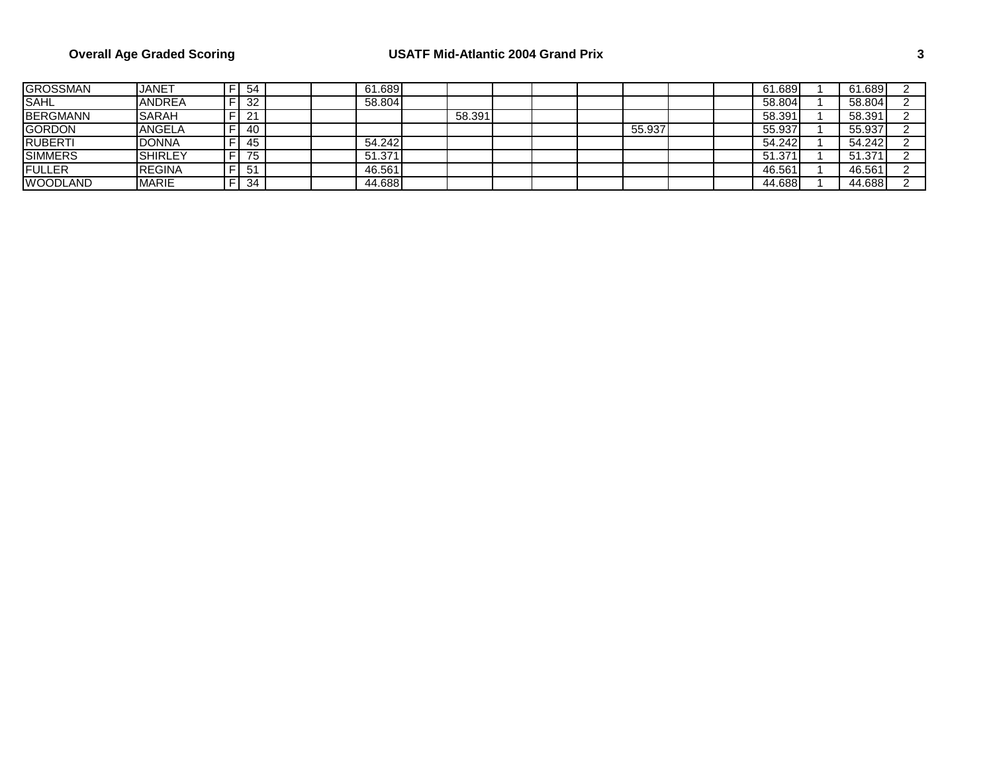## **Overall Age Graded Scoring USATF Mid-Atlantic 2004 Grand Prix 3**

| <b>GROSSMAN</b> | <b>JANET</b>   | 54 |  | 61.689 |        |  |        |  | 61.689 | 61.689 |  |
|-----------------|----------------|----|--|--------|--------|--|--------|--|--------|--------|--|
| SAHL            | <b>ANDREA</b>  | 32 |  | 58.804 |        |  |        |  | 58.804 | 58.804 |  |
| <b>BERGMANN</b> | <b>SARAH</b>   | 21 |  |        | 58.391 |  |        |  | 58.391 | 58.391 |  |
| <b>GORDON</b>   | <b>ANGELA</b>  | 40 |  |        |        |  | 55.937 |  | 55.937 | 55.937 |  |
| <b>RUBERTI</b>  | <b>DONNA</b>   | 45 |  | 54.242 |        |  |        |  | 54.242 | 54.242 |  |
| <b>SIMMERS</b>  | <b>SHIRLEY</b> | 75 |  | 51.371 |        |  |        |  | 51.371 | 51.371 |  |
| FULLER          | <b>REGINA</b>  | 51 |  | 46.561 |        |  |        |  | 46.561 | 46.561 |  |
| <b>WOODLAND</b> | <b>MARIE</b>   | 34 |  | 44.688 |        |  |        |  | 44.688 | 44.688 |  |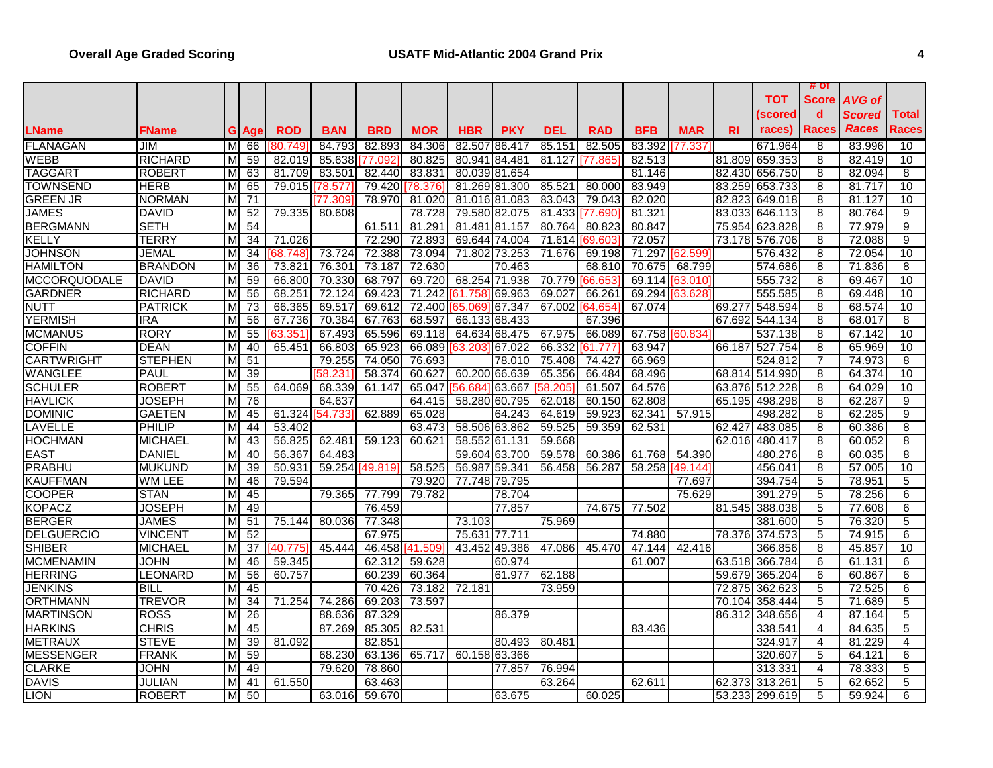| тот<br>Score<br>AVG of<br>$\mathbf d$<br>Scored<br><b>Total</b><br>(scored<br><b>Races</b><br><b>Races</b><br>Races<br>races)<br><b>BRD</b><br><b>PKY</b><br><b>DEL</b><br><b>RAD</b><br><b>BFB</b><br><b>LName</b><br><b>ROD</b><br><b>BAN</b><br><b>MOR</b><br><b>HBR</b><br><b>MAR</b><br><b>RI</b><br>FName<br><b>G</b> Age<br><b>FLANAGAN</b><br><b>JIM</b><br>84.793<br>82.893<br>84.306<br>82.507 86.417<br>85.151<br>82.505<br>83.392<br>671.964<br>8<br>83.996<br>10<br>м<br>66<br>80.749<br>[77.337]<br><b>RICHARD</b><br>85.638<br>80.825<br>M<br>59<br>82.019<br>80.941 84.481<br>81.127<br>82.513<br>81.809 659.353<br>8<br>82.419<br>10<br>77.092<br>77.865<br><b>TAGGART</b><br><b>ROBERT</b><br>63<br>81.709<br>83.501<br>82.440<br>83.831<br>82.430 656.750<br>8<br>82.094<br>8<br>80.039 81.654<br>81.146<br>м<br><b>HERB</b><br><b>TOWNSEND</b><br>65<br>79.015 78.577<br>79.420<br>78.376<br>81.269 81.300<br>85.521<br>80.000<br>83.949<br>83.259 653.733<br>8<br>81.717<br>10<br>М<br><b>GREEN JR</b><br><b>NORMAN</b><br>71<br>78.970<br>81.020<br>81.016 81.083<br>83.043<br>79.043<br>82.020<br>82.823 649.018<br>8<br>81.127<br>10<br>М<br>77.309<br><b>DAVID</b><br>79.335<br>79.580 82.075<br>81.321<br>83.033 646.113<br>8<br>80.764<br><b>JAMES</b><br>M<br>52<br>80.608<br>78.728<br>81.433<br>9<br>77.690<br><b>SETH</b><br>54<br>80.847<br>8<br>77.979<br>9<br><b>BERGMANN</b><br>61.511<br>81.291<br>81.481 81.157<br>80.764<br>80.823<br>75.954 623.828<br>м<br><b>TERRY</b><br>72.290<br>72.893<br>72.057<br>9<br>34<br>71.026<br>69.644 74.004<br>71.614II<br>73.178 576.706<br>8<br>72.088<br>69.603/<br>м<br>73.724<br>10<br><b>JOHNSON</b><br>JEMAL<br>34<br>72.388<br>73.094<br>71.802 73.253<br>71.676<br>69.198<br>71.297<br>[62.599]<br>576.432<br>8<br>72.054<br>68.748<br>м<br>72.630<br><b>HAMILTON</b><br><b>BRANDON</b><br>36<br>73.821<br>76.301<br>73.187<br>68.810<br>70.675<br>574.686<br>8<br>71.836<br>8<br>M<br>70.463<br>68.799<br><b>MCCORQUODALE</b><br>59<br>68.797<br>69.720<br>68.254 71.938<br>70.779<br>69.114<br>8<br>10<br><b>DAVID</b><br>M<br>66.800<br>70.330<br>555.732<br>69.467<br>66.653<br>[63.010]<br><b>GARDNER</b><br><b>RICHARD</b><br>м<br>56<br>68.251<br>72.124<br>69.423<br>71.242<br>69.027<br>69.294<br>555.585<br>8<br>69.448<br>10<br>69.963<br>66.26<br>63.628<br>61.758<br>PATRICK<br>73<br>66.365<br>69.517<br>69.612<br>72.400 65.069 67.347<br>67.002<br>67.074<br>69.277 548.594<br>8<br>68.574<br>10<br>м<br>64.654<br><b>YERMISH</b><br><b>IRA</b><br>67.736<br>70.384<br>67.763<br>68.597<br>67.396<br>8<br>M<br>56<br>66.133 68.433<br>67.692 544.134<br>68.017<br>8<br>67.975<br>67.758 60.834<br><b>RORY</b><br>55<br>65.596<br>69.118<br>66.089<br>8<br><b>MCMANUS</b><br>M<br>67.493<br>64.634 68.475<br>537.138<br>67.142<br>10<br>63.35′<br><b>DEAN</b><br>63.947<br>8<br><b>COFFIN</b><br>40<br>65.451<br>66.803<br>65.923<br>66.089<br>67.022<br>66.332<br>66.187 527.754<br>65.969<br>10<br>63.203<br>61.777<br><b>CARTWRIGHT</b><br><b>STEPHEN</b><br>51<br>79.255<br>74.050<br>76.693<br>78.010<br>75.408<br>74.427<br>66.969<br>$\overline{7}$<br>74.973<br>8<br>524.812<br>м<br><b>WANGLEE</b><br>39<br>58.374<br>60.627<br>60.200 66.639<br>65.356<br>64.374<br>10<br><b>PAUL</b><br>58.231<br>66.484<br>68.496<br>68.814 514.990<br>8<br>м<br><b>SCHULER</b><br>64.069<br>68.339<br>65.047<br>8<br>64.029<br><b>ROBERT</b><br>55<br>61.147<br>56.684163.667<br>58.205<br>61.507<br>64.576<br>63.876 512.228<br>10<br>M<br>76<br>62.808<br><b>HAVLICK</b><br><b>JOSEPH</b><br>M<br>64.637<br>64.415<br>58.280 60.795<br>62.018<br>60.150<br>65.195 498.298<br>8<br>62.287<br>9<br>$\overline{8}$<br>$\overline{9}$<br><b>GAETEN</b><br>45<br>61.324<br>62.889<br>65.028<br>64.243<br>64.619<br>59.923<br>62.341<br>57.915<br>498.282<br>62.285<br>М<br>54.733<br>PHILIP<br>44<br>53.402<br>58.506 63.862<br>8<br>8<br>63.473<br>59.525<br>59.359<br>62.531<br>62.427<br>483.085<br>60.386<br>м<br>43<br>56.825<br>62.481<br>8<br><b>MICHAEL</b><br>59.123<br>60.621<br>58.552 61.131<br>59.668<br>62.016 480.417<br>8<br>60.052<br>М<br><b>DANIEL</b><br>40<br>56.367<br>59.604 63.700<br>60.386<br>61.768<br>54.390<br>8<br>8<br>М<br>64.483<br>59.578<br>480.276<br>60.035<br>58.525<br>39<br>59.254<br>56.987 59.341<br>10<br><b>MUKUND</b><br>М<br>50.931<br>[49.819<br>56.458<br>56.287<br>58.258<br>456.041<br>8<br>57.005<br>149.144<br>$\overline{5}$<br><b>WM LEE</b><br>46<br>79.594<br>79.920<br>77.748 79.795<br>77.697<br>394.754<br>78.951<br>5<br><b>STAN</b><br>45<br>5<br>78.256<br>6<br>79.365<br>77.799<br>79.782<br>78.704<br>75.629<br>391.279<br>м<br><b>JOSEPH</b><br>49<br>6<br>76.459<br>77.857<br>74.675<br>77.502<br>81.545 388.038<br>5<br>77.608<br>80.036<br>5<br><b>JAMES</b><br>51<br>75.144<br>73.103<br>75.969<br>5<br>76.320<br>M<br>77.348<br>381.600<br><b>VINCENT</b><br>52<br>67.975<br>75.631 77.711<br>74.880<br>78.376 <b> </b> 374.573<br>5<br>74.915<br>6<br>М<br>43.452 49.386<br><b>MICHAEL</b><br>$\overline{37}$<br>140.775<br>45.444<br>46.458 [41.509]<br>47.086<br>45.470<br>47.144<br>42.416<br>366.856<br>8<br>45.857<br>10<br>M<br>JOHN<br>59.345<br>62.312<br>59.628<br>63.518 366.784<br>6<br>6<br>46<br>60.974<br>61.007<br>61.131<br>м<br>LEONARD<br>56<br>60.757<br>60.239<br>60.364<br>61.977<br>62.188<br>59.679 365.204<br>6<br>60.867<br>6<br>м<br>45<br>$\overline{5}$<br>6<br><b>BILL</b><br>70.426<br>72.181<br>73.959<br>72.525<br>М<br>73.182<br>72.875 362.623<br><b>TREVOR</b><br>34<br>71.254<br>74.286<br>69.203<br>73.597<br>70.104 358.444<br>71.689<br>5<br>M<br>5<br><b>ROSS</b><br>26<br>88.636<br>87.329<br>86.379<br>86.312 348.656<br>87.164<br>5<br>M<br>$\overline{4}$<br>45<br><b>CHRIS</b><br>87.269<br>85.305<br>82.531<br>$\overline{4}$<br>84.635<br>5<br>83.436<br>338.541<br>м<br><b>STEVE</b><br>39<br>81.092<br>82.851<br>80.493<br>80.481<br>324.917<br>4<br>81.229<br>4<br>59<br>68.230<br>5<br>6<br>FRANK<br>63.136<br>65.717<br>60.158 63.366<br>64.121<br>М<br>320.607<br>49<br>76.994<br>78.333<br>5<br>JOHN<br>79.620<br>78.860<br>77.857<br>313.331<br>4<br>м<br>61.550<br>63.463<br>5<br>$\overline{5}$<br>JULIAN<br>M<br>41<br>63.264<br>62.611<br>62.373 313.261<br>62.652 |                   |  |  |  |  |  |  |  | $#$ OT |  |
|------------------------------------------------------------------------------------------------------------------------------------------------------------------------------------------------------------------------------------------------------------------------------------------------------------------------------------------------------------------------------------------------------------------------------------------------------------------------------------------------------------------------------------------------------------------------------------------------------------------------------------------------------------------------------------------------------------------------------------------------------------------------------------------------------------------------------------------------------------------------------------------------------------------------------------------------------------------------------------------------------------------------------------------------------------------------------------------------------------------------------------------------------------------------------------------------------------------------------------------------------------------------------------------------------------------------------------------------------------------------------------------------------------------------------------------------------------------------------------------------------------------------------------------------------------------------------------------------------------------------------------------------------------------------------------------------------------------------------------------------------------------------------------------------------------------------------------------------------------------------------------------------------------------------------------------------------------------------------------------------------------------------------------------------------------------------------------------------------------------------------------------------------------------------------------------------------------------------------------------------------------------------------------------------------------------------------------------------------------------------------------------------------------------------------------------------------------------------------------------------------------------------------------------------------------------------------------------------------------------------------------------------------------------------------------------------------------------------------------------------------------------------------------------------------------------------------------------------------------------------------------------------------------------------------------------------------------------------------------------------------------------------------------------------------------------------------------------------------------------------------------------------------------------------------------------------------------------------------------------------------------------------------------------------------------------------------------------------------------------------------------------------------------------------------------------------------------------------------------------------------------------------------------------------------------------------------------------------------------------------------------------------------------------------------------------------------------------------------------------------------------------------------------------------------------------------------------------------------------------------------------------------------------------------------------------------------------------------------------------------------------------------------------------------------------------------------------------------------------------------------------------------------------------------------------------------------------------------------------------------------------------------------------------------------------------------------------------------------------------------------------------------------------------------------------------------------------------------------------------------------------------------------------------------------------------------------------------------------------------------------------------------------------------------------------------------------------------------------------------------------------------------------------------------------------------------------------------------------------------------------------------------------------------------------------------------------------------------------------------------------------------------------------------------------------------------------------------------------------------------------------------------------------------------------------------------------------------------------------------------------------------------------------------------------------------------------------------------------------------------------------------------------------------------------------------------------------------------------------------------------------------------------------------------------------------------------------------------------------------------------------------------------------------------------------------------------------------------------------------------------------------------------------------------------------------------------------------------------------------------------------------------------------------------------------------------------------------------------------------------------------------------------------------------------------------------------------------------------------------------------------------------------------------------------------------------------------------------------------------------------------------------------------------------|-------------------|--|--|--|--|--|--|--|--------|--|
|                                                                                                                                                                                                                                                                                                                                                                                                                                                                                                                                                                                                                                                                                                                                                                                                                                                                                                                                                                                                                                                                                                                                                                                                                                                                                                                                                                                                                                                                                                                                                                                                                                                                                                                                                                                                                                                                                                                                                                                                                                                                                                                                                                                                                                                                                                                                                                                                                                                                                                                                                                                                                                                                                                                                                                                                                                                                                                                                                                                                                                                                                                                                                                                                                                                                                                                                                                                                                                                                                                                                                                                                                                                                                                                                                                                                                                                                                                                                                                                                                                                                                                                                                                                                                                                                                                                                                                                                                                                                                                                                                                                                                                                                                                                                                                                                                                                                                                                                                                                                                                                                                                                                                                                                                                                                                                                                                                                                                                                                                                                                                                                                                                                                                                                                                                                                                                                                                                                                                                                                                                                                                                                                                                                                                                                                                                |                   |  |  |  |  |  |  |  |        |  |
|                                                                                                                                                                                                                                                                                                                                                                                                                                                                                                                                                                                                                                                                                                                                                                                                                                                                                                                                                                                                                                                                                                                                                                                                                                                                                                                                                                                                                                                                                                                                                                                                                                                                                                                                                                                                                                                                                                                                                                                                                                                                                                                                                                                                                                                                                                                                                                                                                                                                                                                                                                                                                                                                                                                                                                                                                                                                                                                                                                                                                                                                                                                                                                                                                                                                                                                                                                                                                                                                                                                                                                                                                                                                                                                                                                                                                                                                                                                                                                                                                                                                                                                                                                                                                                                                                                                                                                                                                                                                                                                                                                                                                                                                                                                                                                                                                                                                                                                                                                                                                                                                                                                                                                                                                                                                                                                                                                                                                                                                                                                                                                                                                                                                                                                                                                                                                                                                                                                                                                                                                                                                                                                                                                                                                                                                                                |                   |  |  |  |  |  |  |  |        |  |
|                                                                                                                                                                                                                                                                                                                                                                                                                                                                                                                                                                                                                                                                                                                                                                                                                                                                                                                                                                                                                                                                                                                                                                                                                                                                                                                                                                                                                                                                                                                                                                                                                                                                                                                                                                                                                                                                                                                                                                                                                                                                                                                                                                                                                                                                                                                                                                                                                                                                                                                                                                                                                                                                                                                                                                                                                                                                                                                                                                                                                                                                                                                                                                                                                                                                                                                                                                                                                                                                                                                                                                                                                                                                                                                                                                                                                                                                                                                                                                                                                                                                                                                                                                                                                                                                                                                                                                                                                                                                                                                                                                                                                                                                                                                                                                                                                                                                                                                                                                                                                                                                                                                                                                                                                                                                                                                                                                                                                                                                                                                                                                                                                                                                                                                                                                                                                                                                                                                                                                                                                                                                                                                                                                                                                                                                                                |                   |  |  |  |  |  |  |  |        |  |
|                                                                                                                                                                                                                                                                                                                                                                                                                                                                                                                                                                                                                                                                                                                                                                                                                                                                                                                                                                                                                                                                                                                                                                                                                                                                                                                                                                                                                                                                                                                                                                                                                                                                                                                                                                                                                                                                                                                                                                                                                                                                                                                                                                                                                                                                                                                                                                                                                                                                                                                                                                                                                                                                                                                                                                                                                                                                                                                                                                                                                                                                                                                                                                                                                                                                                                                                                                                                                                                                                                                                                                                                                                                                                                                                                                                                                                                                                                                                                                                                                                                                                                                                                                                                                                                                                                                                                                                                                                                                                                                                                                                                                                                                                                                                                                                                                                                                                                                                                                                                                                                                                                                                                                                                                                                                                                                                                                                                                                                                                                                                                                                                                                                                                                                                                                                                                                                                                                                                                                                                                                                                                                                                                                                                                                                                                                |                   |  |  |  |  |  |  |  |        |  |
|                                                                                                                                                                                                                                                                                                                                                                                                                                                                                                                                                                                                                                                                                                                                                                                                                                                                                                                                                                                                                                                                                                                                                                                                                                                                                                                                                                                                                                                                                                                                                                                                                                                                                                                                                                                                                                                                                                                                                                                                                                                                                                                                                                                                                                                                                                                                                                                                                                                                                                                                                                                                                                                                                                                                                                                                                                                                                                                                                                                                                                                                                                                                                                                                                                                                                                                                                                                                                                                                                                                                                                                                                                                                                                                                                                                                                                                                                                                                                                                                                                                                                                                                                                                                                                                                                                                                                                                                                                                                                                                                                                                                                                                                                                                                                                                                                                                                                                                                                                                                                                                                                                                                                                                                                                                                                                                                                                                                                                                                                                                                                                                                                                                                                                                                                                                                                                                                                                                                                                                                                                                                                                                                                                                                                                                                                                | <b>WEBB</b>       |  |  |  |  |  |  |  |        |  |
|                                                                                                                                                                                                                                                                                                                                                                                                                                                                                                                                                                                                                                                                                                                                                                                                                                                                                                                                                                                                                                                                                                                                                                                                                                                                                                                                                                                                                                                                                                                                                                                                                                                                                                                                                                                                                                                                                                                                                                                                                                                                                                                                                                                                                                                                                                                                                                                                                                                                                                                                                                                                                                                                                                                                                                                                                                                                                                                                                                                                                                                                                                                                                                                                                                                                                                                                                                                                                                                                                                                                                                                                                                                                                                                                                                                                                                                                                                                                                                                                                                                                                                                                                                                                                                                                                                                                                                                                                                                                                                                                                                                                                                                                                                                                                                                                                                                                                                                                                                                                                                                                                                                                                                                                                                                                                                                                                                                                                                                                                                                                                                                                                                                                                                                                                                                                                                                                                                                                                                                                                                                                                                                                                                                                                                                                                                |                   |  |  |  |  |  |  |  |        |  |
|                                                                                                                                                                                                                                                                                                                                                                                                                                                                                                                                                                                                                                                                                                                                                                                                                                                                                                                                                                                                                                                                                                                                                                                                                                                                                                                                                                                                                                                                                                                                                                                                                                                                                                                                                                                                                                                                                                                                                                                                                                                                                                                                                                                                                                                                                                                                                                                                                                                                                                                                                                                                                                                                                                                                                                                                                                                                                                                                                                                                                                                                                                                                                                                                                                                                                                                                                                                                                                                                                                                                                                                                                                                                                                                                                                                                                                                                                                                                                                                                                                                                                                                                                                                                                                                                                                                                                                                                                                                                                                                                                                                                                                                                                                                                                                                                                                                                                                                                                                                                                                                                                                                                                                                                                                                                                                                                                                                                                                                                                                                                                                                                                                                                                                                                                                                                                                                                                                                                                                                                                                                                                                                                                                                                                                                                                                |                   |  |  |  |  |  |  |  |        |  |
|                                                                                                                                                                                                                                                                                                                                                                                                                                                                                                                                                                                                                                                                                                                                                                                                                                                                                                                                                                                                                                                                                                                                                                                                                                                                                                                                                                                                                                                                                                                                                                                                                                                                                                                                                                                                                                                                                                                                                                                                                                                                                                                                                                                                                                                                                                                                                                                                                                                                                                                                                                                                                                                                                                                                                                                                                                                                                                                                                                                                                                                                                                                                                                                                                                                                                                                                                                                                                                                                                                                                                                                                                                                                                                                                                                                                                                                                                                                                                                                                                                                                                                                                                                                                                                                                                                                                                                                                                                                                                                                                                                                                                                                                                                                                                                                                                                                                                                                                                                                                                                                                                                                                                                                                                                                                                                                                                                                                                                                                                                                                                                                                                                                                                                                                                                                                                                                                                                                                                                                                                                                                                                                                                                                                                                                                                                |                   |  |  |  |  |  |  |  |        |  |
|                                                                                                                                                                                                                                                                                                                                                                                                                                                                                                                                                                                                                                                                                                                                                                                                                                                                                                                                                                                                                                                                                                                                                                                                                                                                                                                                                                                                                                                                                                                                                                                                                                                                                                                                                                                                                                                                                                                                                                                                                                                                                                                                                                                                                                                                                                                                                                                                                                                                                                                                                                                                                                                                                                                                                                                                                                                                                                                                                                                                                                                                                                                                                                                                                                                                                                                                                                                                                                                                                                                                                                                                                                                                                                                                                                                                                                                                                                                                                                                                                                                                                                                                                                                                                                                                                                                                                                                                                                                                                                                                                                                                                                                                                                                                                                                                                                                                                                                                                                                                                                                                                                                                                                                                                                                                                                                                                                                                                                                                                                                                                                                                                                                                                                                                                                                                                                                                                                                                                                                                                                                                                                                                                                                                                                                                                                |                   |  |  |  |  |  |  |  |        |  |
|                                                                                                                                                                                                                                                                                                                                                                                                                                                                                                                                                                                                                                                                                                                                                                                                                                                                                                                                                                                                                                                                                                                                                                                                                                                                                                                                                                                                                                                                                                                                                                                                                                                                                                                                                                                                                                                                                                                                                                                                                                                                                                                                                                                                                                                                                                                                                                                                                                                                                                                                                                                                                                                                                                                                                                                                                                                                                                                                                                                                                                                                                                                                                                                                                                                                                                                                                                                                                                                                                                                                                                                                                                                                                                                                                                                                                                                                                                                                                                                                                                                                                                                                                                                                                                                                                                                                                                                                                                                                                                                                                                                                                                                                                                                                                                                                                                                                                                                                                                                                                                                                                                                                                                                                                                                                                                                                                                                                                                                                                                                                                                                                                                                                                                                                                                                                                                                                                                                                                                                                                                                                                                                                                                                                                                                                                                |                   |  |  |  |  |  |  |  |        |  |
|                                                                                                                                                                                                                                                                                                                                                                                                                                                                                                                                                                                                                                                                                                                                                                                                                                                                                                                                                                                                                                                                                                                                                                                                                                                                                                                                                                                                                                                                                                                                                                                                                                                                                                                                                                                                                                                                                                                                                                                                                                                                                                                                                                                                                                                                                                                                                                                                                                                                                                                                                                                                                                                                                                                                                                                                                                                                                                                                                                                                                                                                                                                                                                                                                                                                                                                                                                                                                                                                                                                                                                                                                                                                                                                                                                                                                                                                                                                                                                                                                                                                                                                                                                                                                                                                                                                                                                                                                                                                                                                                                                                                                                                                                                                                                                                                                                                                                                                                                                                                                                                                                                                                                                                                                                                                                                                                                                                                                                                                                                                                                                                                                                                                                                                                                                                                                                                                                                                                                                                                                                                                                                                                                                                                                                                                                                | KELLY             |  |  |  |  |  |  |  |        |  |
|                                                                                                                                                                                                                                                                                                                                                                                                                                                                                                                                                                                                                                                                                                                                                                                                                                                                                                                                                                                                                                                                                                                                                                                                                                                                                                                                                                                                                                                                                                                                                                                                                                                                                                                                                                                                                                                                                                                                                                                                                                                                                                                                                                                                                                                                                                                                                                                                                                                                                                                                                                                                                                                                                                                                                                                                                                                                                                                                                                                                                                                                                                                                                                                                                                                                                                                                                                                                                                                                                                                                                                                                                                                                                                                                                                                                                                                                                                                                                                                                                                                                                                                                                                                                                                                                                                                                                                                                                                                                                                                                                                                                                                                                                                                                                                                                                                                                                                                                                                                                                                                                                                                                                                                                                                                                                                                                                                                                                                                                                                                                                                                                                                                                                                                                                                                                                                                                                                                                                                                                                                                                                                                                                                                                                                                                                                |                   |  |  |  |  |  |  |  |        |  |
|                                                                                                                                                                                                                                                                                                                                                                                                                                                                                                                                                                                                                                                                                                                                                                                                                                                                                                                                                                                                                                                                                                                                                                                                                                                                                                                                                                                                                                                                                                                                                                                                                                                                                                                                                                                                                                                                                                                                                                                                                                                                                                                                                                                                                                                                                                                                                                                                                                                                                                                                                                                                                                                                                                                                                                                                                                                                                                                                                                                                                                                                                                                                                                                                                                                                                                                                                                                                                                                                                                                                                                                                                                                                                                                                                                                                                                                                                                                                                                                                                                                                                                                                                                                                                                                                                                                                                                                                                                                                                                                                                                                                                                                                                                                                                                                                                                                                                                                                                                                                                                                                                                                                                                                                                                                                                                                                                                                                                                                                                                                                                                                                                                                                                                                                                                                                                                                                                                                                                                                                                                                                                                                                                                                                                                                                                                |                   |  |  |  |  |  |  |  |        |  |
|                                                                                                                                                                                                                                                                                                                                                                                                                                                                                                                                                                                                                                                                                                                                                                                                                                                                                                                                                                                                                                                                                                                                                                                                                                                                                                                                                                                                                                                                                                                                                                                                                                                                                                                                                                                                                                                                                                                                                                                                                                                                                                                                                                                                                                                                                                                                                                                                                                                                                                                                                                                                                                                                                                                                                                                                                                                                                                                                                                                                                                                                                                                                                                                                                                                                                                                                                                                                                                                                                                                                                                                                                                                                                                                                                                                                                                                                                                                                                                                                                                                                                                                                                                                                                                                                                                                                                                                                                                                                                                                                                                                                                                                                                                                                                                                                                                                                                                                                                                                                                                                                                                                                                                                                                                                                                                                                                                                                                                                                                                                                                                                                                                                                                                                                                                                                                                                                                                                                                                                                                                                                                                                                                                                                                                                                                                |                   |  |  |  |  |  |  |  |        |  |
|                                                                                                                                                                                                                                                                                                                                                                                                                                                                                                                                                                                                                                                                                                                                                                                                                                                                                                                                                                                                                                                                                                                                                                                                                                                                                                                                                                                                                                                                                                                                                                                                                                                                                                                                                                                                                                                                                                                                                                                                                                                                                                                                                                                                                                                                                                                                                                                                                                                                                                                                                                                                                                                                                                                                                                                                                                                                                                                                                                                                                                                                                                                                                                                                                                                                                                                                                                                                                                                                                                                                                                                                                                                                                                                                                                                                                                                                                                                                                                                                                                                                                                                                                                                                                                                                                                                                                                                                                                                                                                                                                                                                                                                                                                                                                                                                                                                                                                                                                                                                                                                                                                                                                                                                                                                                                                                                                                                                                                                                                                                                                                                                                                                                                                                                                                                                                                                                                                                                                                                                                                                                                                                                                                                                                                                                                                |                   |  |  |  |  |  |  |  |        |  |
|                                                                                                                                                                                                                                                                                                                                                                                                                                                                                                                                                                                                                                                                                                                                                                                                                                                                                                                                                                                                                                                                                                                                                                                                                                                                                                                                                                                                                                                                                                                                                                                                                                                                                                                                                                                                                                                                                                                                                                                                                                                                                                                                                                                                                                                                                                                                                                                                                                                                                                                                                                                                                                                                                                                                                                                                                                                                                                                                                                                                                                                                                                                                                                                                                                                                                                                                                                                                                                                                                                                                                                                                                                                                                                                                                                                                                                                                                                                                                                                                                                                                                                                                                                                                                                                                                                                                                                                                                                                                                                                                                                                                                                                                                                                                                                                                                                                                                                                                                                                                                                                                                                                                                                                                                                                                                                                                                                                                                                                                                                                                                                                                                                                                                                                                                                                                                                                                                                                                                                                                                                                                                                                                                                                                                                                                                                | <b>NUTT</b>       |  |  |  |  |  |  |  |        |  |
|                                                                                                                                                                                                                                                                                                                                                                                                                                                                                                                                                                                                                                                                                                                                                                                                                                                                                                                                                                                                                                                                                                                                                                                                                                                                                                                                                                                                                                                                                                                                                                                                                                                                                                                                                                                                                                                                                                                                                                                                                                                                                                                                                                                                                                                                                                                                                                                                                                                                                                                                                                                                                                                                                                                                                                                                                                                                                                                                                                                                                                                                                                                                                                                                                                                                                                                                                                                                                                                                                                                                                                                                                                                                                                                                                                                                                                                                                                                                                                                                                                                                                                                                                                                                                                                                                                                                                                                                                                                                                                                                                                                                                                                                                                                                                                                                                                                                                                                                                                                                                                                                                                                                                                                                                                                                                                                                                                                                                                                                                                                                                                                                                                                                                                                                                                                                                                                                                                                                                                                                                                                                                                                                                                                                                                                                                                |                   |  |  |  |  |  |  |  |        |  |
|                                                                                                                                                                                                                                                                                                                                                                                                                                                                                                                                                                                                                                                                                                                                                                                                                                                                                                                                                                                                                                                                                                                                                                                                                                                                                                                                                                                                                                                                                                                                                                                                                                                                                                                                                                                                                                                                                                                                                                                                                                                                                                                                                                                                                                                                                                                                                                                                                                                                                                                                                                                                                                                                                                                                                                                                                                                                                                                                                                                                                                                                                                                                                                                                                                                                                                                                                                                                                                                                                                                                                                                                                                                                                                                                                                                                                                                                                                                                                                                                                                                                                                                                                                                                                                                                                                                                                                                                                                                                                                                                                                                                                                                                                                                                                                                                                                                                                                                                                                                                                                                                                                                                                                                                                                                                                                                                                                                                                                                                                                                                                                                                                                                                                                                                                                                                                                                                                                                                                                                                                                                                                                                                                                                                                                                                                                |                   |  |  |  |  |  |  |  |        |  |
|                                                                                                                                                                                                                                                                                                                                                                                                                                                                                                                                                                                                                                                                                                                                                                                                                                                                                                                                                                                                                                                                                                                                                                                                                                                                                                                                                                                                                                                                                                                                                                                                                                                                                                                                                                                                                                                                                                                                                                                                                                                                                                                                                                                                                                                                                                                                                                                                                                                                                                                                                                                                                                                                                                                                                                                                                                                                                                                                                                                                                                                                                                                                                                                                                                                                                                                                                                                                                                                                                                                                                                                                                                                                                                                                                                                                                                                                                                                                                                                                                                                                                                                                                                                                                                                                                                                                                                                                                                                                                                                                                                                                                                                                                                                                                                                                                                                                                                                                                                                                                                                                                                                                                                                                                                                                                                                                                                                                                                                                                                                                                                                                                                                                                                                                                                                                                                                                                                                                                                                                                                                                                                                                                                                                                                                                                                |                   |  |  |  |  |  |  |  |        |  |
|                                                                                                                                                                                                                                                                                                                                                                                                                                                                                                                                                                                                                                                                                                                                                                                                                                                                                                                                                                                                                                                                                                                                                                                                                                                                                                                                                                                                                                                                                                                                                                                                                                                                                                                                                                                                                                                                                                                                                                                                                                                                                                                                                                                                                                                                                                                                                                                                                                                                                                                                                                                                                                                                                                                                                                                                                                                                                                                                                                                                                                                                                                                                                                                                                                                                                                                                                                                                                                                                                                                                                                                                                                                                                                                                                                                                                                                                                                                                                                                                                                                                                                                                                                                                                                                                                                                                                                                                                                                                                                                                                                                                                                                                                                                                                                                                                                                                                                                                                                                                                                                                                                                                                                                                                                                                                                                                                                                                                                                                                                                                                                                                                                                                                                                                                                                                                                                                                                                                                                                                                                                                                                                                                                                                                                                                                                |                   |  |  |  |  |  |  |  |        |  |
|                                                                                                                                                                                                                                                                                                                                                                                                                                                                                                                                                                                                                                                                                                                                                                                                                                                                                                                                                                                                                                                                                                                                                                                                                                                                                                                                                                                                                                                                                                                                                                                                                                                                                                                                                                                                                                                                                                                                                                                                                                                                                                                                                                                                                                                                                                                                                                                                                                                                                                                                                                                                                                                                                                                                                                                                                                                                                                                                                                                                                                                                                                                                                                                                                                                                                                                                                                                                                                                                                                                                                                                                                                                                                                                                                                                                                                                                                                                                                                                                                                                                                                                                                                                                                                                                                                                                                                                                                                                                                                                                                                                                                                                                                                                                                                                                                                                                                                                                                                                                                                                                                                                                                                                                                                                                                                                                                                                                                                                                                                                                                                                                                                                                                                                                                                                                                                                                                                                                                                                                                                                                                                                                                                                                                                                                                                |                   |  |  |  |  |  |  |  |        |  |
|                                                                                                                                                                                                                                                                                                                                                                                                                                                                                                                                                                                                                                                                                                                                                                                                                                                                                                                                                                                                                                                                                                                                                                                                                                                                                                                                                                                                                                                                                                                                                                                                                                                                                                                                                                                                                                                                                                                                                                                                                                                                                                                                                                                                                                                                                                                                                                                                                                                                                                                                                                                                                                                                                                                                                                                                                                                                                                                                                                                                                                                                                                                                                                                                                                                                                                                                                                                                                                                                                                                                                                                                                                                                                                                                                                                                                                                                                                                                                                                                                                                                                                                                                                                                                                                                                                                                                                                                                                                                                                                                                                                                                                                                                                                                                                                                                                                                                                                                                                                                                                                                                                                                                                                                                                                                                                                                                                                                                                                                                                                                                                                                                                                                                                                                                                                                                                                                                                                                                                                                                                                                                                                                                                                                                                                                                                |                   |  |  |  |  |  |  |  |        |  |
|                                                                                                                                                                                                                                                                                                                                                                                                                                                                                                                                                                                                                                                                                                                                                                                                                                                                                                                                                                                                                                                                                                                                                                                                                                                                                                                                                                                                                                                                                                                                                                                                                                                                                                                                                                                                                                                                                                                                                                                                                                                                                                                                                                                                                                                                                                                                                                                                                                                                                                                                                                                                                                                                                                                                                                                                                                                                                                                                                                                                                                                                                                                                                                                                                                                                                                                                                                                                                                                                                                                                                                                                                                                                                                                                                                                                                                                                                                                                                                                                                                                                                                                                                                                                                                                                                                                                                                                                                                                                                                                                                                                                                                                                                                                                                                                                                                                                                                                                                                                                                                                                                                                                                                                                                                                                                                                                                                                                                                                                                                                                                                                                                                                                                                                                                                                                                                                                                                                                                                                                                                                                                                                                                                                                                                                                                                |                   |  |  |  |  |  |  |  |        |  |
|                                                                                                                                                                                                                                                                                                                                                                                                                                                                                                                                                                                                                                                                                                                                                                                                                                                                                                                                                                                                                                                                                                                                                                                                                                                                                                                                                                                                                                                                                                                                                                                                                                                                                                                                                                                                                                                                                                                                                                                                                                                                                                                                                                                                                                                                                                                                                                                                                                                                                                                                                                                                                                                                                                                                                                                                                                                                                                                                                                                                                                                                                                                                                                                                                                                                                                                                                                                                                                                                                                                                                                                                                                                                                                                                                                                                                                                                                                                                                                                                                                                                                                                                                                                                                                                                                                                                                                                                                                                                                                                                                                                                                                                                                                                                                                                                                                                                                                                                                                                                                                                                                                                                                                                                                                                                                                                                                                                                                                                                                                                                                                                                                                                                                                                                                                                                                                                                                                                                                                                                                                                                                                                                                                                                                                                                                                | <b>DOMINIC</b>    |  |  |  |  |  |  |  |        |  |
|                                                                                                                                                                                                                                                                                                                                                                                                                                                                                                                                                                                                                                                                                                                                                                                                                                                                                                                                                                                                                                                                                                                                                                                                                                                                                                                                                                                                                                                                                                                                                                                                                                                                                                                                                                                                                                                                                                                                                                                                                                                                                                                                                                                                                                                                                                                                                                                                                                                                                                                                                                                                                                                                                                                                                                                                                                                                                                                                                                                                                                                                                                                                                                                                                                                                                                                                                                                                                                                                                                                                                                                                                                                                                                                                                                                                                                                                                                                                                                                                                                                                                                                                                                                                                                                                                                                                                                                                                                                                                                                                                                                                                                                                                                                                                                                                                                                                                                                                                                                                                                                                                                                                                                                                                                                                                                                                                                                                                                                                                                                                                                                                                                                                                                                                                                                                                                                                                                                                                                                                                                                                                                                                                                                                                                                                                                | <b>LAVELLE</b>    |  |  |  |  |  |  |  |        |  |
|                                                                                                                                                                                                                                                                                                                                                                                                                                                                                                                                                                                                                                                                                                                                                                                                                                                                                                                                                                                                                                                                                                                                                                                                                                                                                                                                                                                                                                                                                                                                                                                                                                                                                                                                                                                                                                                                                                                                                                                                                                                                                                                                                                                                                                                                                                                                                                                                                                                                                                                                                                                                                                                                                                                                                                                                                                                                                                                                                                                                                                                                                                                                                                                                                                                                                                                                                                                                                                                                                                                                                                                                                                                                                                                                                                                                                                                                                                                                                                                                                                                                                                                                                                                                                                                                                                                                                                                                                                                                                                                                                                                                                                                                                                                                                                                                                                                                                                                                                                                                                                                                                                                                                                                                                                                                                                                                                                                                                                                                                                                                                                                                                                                                                                                                                                                                                                                                                                                                                                                                                                                                                                                                                                                                                                                                                                | <b>HOCHMAN</b>    |  |  |  |  |  |  |  |        |  |
|                                                                                                                                                                                                                                                                                                                                                                                                                                                                                                                                                                                                                                                                                                                                                                                                                                                                                                                                                                                                                                                                                                                                                                                                                                                                                                                                                                                                                                                                                                                                                                                                                                                                                                                                                                                                                                                                                                                                                                                                                                                                                                                                                                                                                                                                                                                                                                                                                                                                                                                                                                                                                                                                                                                                                                                                                                                                                                                                                                                                                                                                                                                                                                                                                                                                                                                                                                                                                                                                                                                                                                                                                                                                                                                                                                                                                                                                                                                                                                                                                                                                                                                                                                                                                                                                                                                                                                                                                                                                                                                                                                                                                                                                                                                                                                                                                                                                                                                                                                                                                                                                                                                                                                                                                                                                                                                                                                                                                                                                                                                                                                                                                                                                                                                                                                                                                                                                                                                                                                                                                                                                                                                                                                                                                                                                                                | <b>EAST</b>       |  |  |  |  |  |  |  |        |  |
|                                                                                                                                                                                                                                                                                                                                                                                                                                                                                                                                                                                                                                                                                                                                                                                                                                                                                                                                                                                                                                                                                                                                                                                                                                                                                                                                                                                                                                                                                                                                                                                                                                                                                                                                                                                                                                                                                                                                                                                                                                                                                                                                                                                                                                                                                                                                                                                                                                                                                                                                                                                                                                                                                                                                                                                                                                                                                                                                                                                                                                                                                                                                                                                                                                                                                                                                                                                                                                                                                                                                                                                                                                                                                                                                                                                                                                                                                                                                                                                                                                                                                                                                                                                                                                                                                                                                                                                                                                                                                                                                                                                                                                                                                                                                                                                                                                                                                                                                                                                                                                                                                                                                                                                                                                                                                                                                                                                                                                                                                                                                                                                                                                                                                                                                                                                                                                                                                                                                                                                                                                                                                                                                                                                                                                                                                                | <b>PRABHU</b>     |  |  |  |  |  |  |  |        |  |
|                                                                                                                                                                                                                                                                                                                                                                                                                                                                                                                                                                                                                                                                                                                                                                                                                                                                                                                                                                                                                                                                                                                                                                                                                                                                                                                                                                                                                                                                                                                                                                                                                                                                                                                                                                                                                                                                                                                                                                                                                                                                                                                                                                                                                                                                                                                                                                                                                                                                                                                                                                                                                                                                                                                                                                                                                                                                                                                                                                                                                                                                                                                                                                                                                                                                                                                                                                                                                                                                                                                                                                                                                                                                                                                                                                                                                                                                                                                                                                                                                                                                                                                                                                                                                                                                                                                                                                                                                                                                                                                                                                                                                                                                                                                                                                                                                                                                                                                                                                                                                                                                                                                                                                                                                                                                                                                                                                                                                                                                                                                                                                                                                                                                                                                                                                                                                                                                                                                                                                                                                                                                                                                                                                                                                                                                                                | <b>KAUFFMAN</b>   |  |  |  |  |  |  |  |        |  |
|                                                                                                                                                                                                                                                                                                                                                                                                                                                                                                                                                                                                                                                                                                                                                                                                                                                                                                                                                                                                                                                                                                                                                                                                                                                                                                                                                                                                                                                                                                                                                                                                                                                                                                                                                                                                                                                                                                                                                                                                                                                                                                                                                                                                                                                                                                                                                                                                                                                                                                                                                                                                                                                                                                                                                                                                                                                                                                                                                                                                                                                                                                                                                                                                                                                                                                                                                                                                                                                                                                                                                                                                                                                                                                                                                                                                                                                                                                                                                                                                                                                                                                                                                                                                                                                                                                                                                                                                                                                                                                                                                                                                                                                                                                                                                                                                                                                                                                                                                                                                                                                                                                                                                                                                                                                                                                                                                                                                                                                                                                                                                                                                                                                                                                                                                                                                                                                                                                                                                                                                                                                                                                                                                                                                                                                                                                | <b>COOPER</b>     |  |  |  |  |  |  |  |        |  |
|                                                                                                                                                                                                                                                                                                                                                                                                                                                                                                                                                                                                                                                                                                                                                                                                                                                                                                                                                                                                                                                                                                                                                                                                                                                                                                                                                                                                                                                                                                                                                                                                                                                                                                                                                                                                                                                                                                                                                                                                                                                                                                                                                                                                                                                                                                                                                                                                                                                                                                                                                                                                                                                                                                                                                                                                                                                                                                                                                                                                                                                                                                                                                                                                                                                                                                                                                                                                                                                                                                                                                                                                                                                                                                                                                                                                                                                                                                                                                                                                                                                                                                                                                                                                                                                                                                                                                                                                                                                                                                                                                                                                                                                                                                                                                                                                                                                                                                                                                                                                                                                                                                                                                                                                                                                                                                                                                                                                                                                                                                                                                                                                                                                                                                                                                                                                                                                                                                                                                                                                                                                                                                                                                                                                                                                                                                | <b>KOPACZ</b>     |  |  |  |  |  |  |  |        |  |
|                                                                                                                                                                                                                                                                                                                                                                                                                                                                                                                                                                                                                                                                                                                                                                                                                                                                                                                                                                                                                                                                                                                                                                                                                                                                                                                                                                                                                                                                                                                                                                                                                                                                                                                                                                                                                                                                                                                                                                                                                                                                                                                                                                                                                                                                                                                                                                                                                                                                                                                                                                                                                                                                                                                                                                                                                                                                                                                                                                                                                                                                                                                                                                                                                                                                                                                                                                                                                                                                                                                                                                                                                                                                                                                                                                                                                                                                                                                                                                                                                                                                                                                                                                                                                                                                                                                                                                                                                                                                                                                                                                                                                                                                                                                                                                                                                                                                                                                                                                                                                                                                                                                                                                                                                                                                                                                                                                                                                                                                                                                                                                                                                                                                                                                                                                                                                                                                                                                                                                                                                                                                                                                                                                                                                                                                                                | <b>BERGER</b>     |  |  |  |  |  |  |  |        |  |
|                                                                                                                                                                                                                                                                                                                                                                                                                                                                                                                                                                                                                                                                                                                                                                                                                                                                                                                                                                                                                                                                                                                                                                                                                                                                                                                                                                                                                                                                                                                                                                                                                                                                                                                                                                                                                                                                                                                                                                                                                                                                                                                                                                                                                                                                                                                                                                                                                                                                                                                                                                                                                                                                                                                                                                                                                                                                                                                                                                                                                                                                                                                                                                                                                                                                                                                                                                                                                                                                                                                                                                                                                                                                                                                                                                                                                                                                                                                                                                                                                                                                                                                                                                                                                                                                                                                                                                                                                                                                                                                                                                                                                                                                                                                                                                                                                                                                                                                                                                                                                                                                                                                                                                                                                                                                                                                                                                                                                                                                                                                                                                                                                                                                                                                                                                                                                                                                                                                                                                                                                                                                                                                                                                                                                                                                                                | <b>DELGUERCIO</b> |  |  |  |  |  |  |  |        |  |
|                                                                                                                                                                                                                                                                                                                                                                                                                                                                                                                                                                                                                                                                                                                                                                                                                                                                                                                                                                                                                                                                                                                                                                                                                                                                                                                                                                                                                                                                                                                                                                                                                                                                                                                                                                                                                                                                                                                                                                                                                                                                                                                                                                                                                                                                                                                                                                                                                                                                                                                                                                                                                                                                                                                                                                                                                                                                                                                                                                                                                                                                                                                                                                                                                                                                                                                                                                                                                                                                                                                                                                                                                                                                                                                                                                                                                                                                                                                                                                                                                                                                                                                                                                                                                                                                                                                                                                                                                                                                                                                                                                                                                                                                                                                                                                                                                                                                                                                                                                                                                                                                                                                                                                                                                                                                                                                                                                                                                                                                                                                                                                                                                                                                                                                                                                                                                                                                                                                                                                                                                                                                                                                                                                                                                                                                                                | <b>SHIBER</b>     |  |  |  |  |  |  |  |        |  |
|                                                                                                                                                                                                                                                                                                                                                                                                                                                                                                                                                                                                                                                                                                                                                                                                                                                                                                                                                                                                                                                                                                                                                                                                                                                                                                                                                                                                                                                                                                                                                                                                                                                                                                                                                                                                                                                                                                                                                                                                                                                                                                                                                                                                                                                                                                                                                                                                                                                                                                                                                                                                                                                                                                                                                                                                                                                                                                                                                                                                                                                                                                                                                                                                                                                                                                                                                                                                                                                                                                                                                                                                                                                                                                                                                                                                                                                                                                                                                                                                                                                                                                                                                                                                                                                                                                                                                                                                                                                                                                                                                                                                                                                                                                                                                                                                                                                                                                                                                                                                                                                                                                                                                                                                                                                                                                                                                                                                                                                                                                                                                                                                                                                                                                                                                                                                                                                                                                                                                                                                                                                                                                                                                                                                                                                                                                | <b>MCMENAMIN</b>  |  |  |  |  |  |  |  |        |  |
|                                                                                                                                                                                                                                                                                                                                                                                                                                                                                                                                                                                                                                                                                                                                                                                                                                                                                                                                                                                                                                                                                                                                                                                                                                                                                                                                                                                                                                                                                                                                                                                                                                                                                                                                                                                                                                                                                                                                                                                                                                                                                                                                                                                                                                                                                                                                                                                                                                                                                                                                                                                                                                                                                                                                                                                                                                                                                                                                                                                                                                                                                                                                                                                                                                                                                                                                                                                                                                                                                                                                                                                                                                                                                                                                                                                                                                                                                                                                                                                                                                                                                                                                                                                                                                                                                                                                                                                                                                                                                                                                                                                                                                                                                                                                                                                                                                                                                                                                                                                                                                                                                                                                                                                                                                                                                                                                                                                                                                                                                                                                                                                                                                                                                                                                                                                                                                                                                                                                                                                                                                                                                                                                                                                                                                                                                                | <b>HERRING</b>    |  |  |  |  |  |  |  |        |  |
|                                                                                                                                                                                                                                                                                                                                                                                                                                                                                                                                                                                                                                                                                                                                                                                                                                                                                                                                                                                                                                                                                                                                                                                                                                                                                                                                                                                                                                                                                                                                                                                                                                                                                                                                                                                                                                                                                                                                                                                                                                                                                                                                                                                                                                                                                                                                                                                                                                                                                                                                                                                                                                                                                                                                                                                                                                                                                                                                                                                                                                                                                                                                                                                                                                                                                                                                                                                                                                                                                                                                                                                                                                                                                                                                                                                                                                                                                                                                                                                                                                                                                                                                                                                                                                                                                                                                                                                                                                                                                                                                                                                                                                                                                                                                                                                                                                                                                                                                                                                                                                                                                                                                                                                                                                                                                                                                                                                                                                                                                                                                                                                                                                                                                                                                                                                                                                                                                                                                                                                                                                                                                                                                                                                                                                                                                                | <b>JENKINS</b>    |  |  |  |  |  |  |  |        |  |
|                                                                                                                                                                                                                                                                                                                                                                                                                                                                                                                                                                                                                                                                                                                                                                                                                                                                                                                                                                                                                                                                                                                                                                                                                                                                                                                                                                                                                                                                                                                                                                                                                                                                                                                                                                                                                                                                                                                                                                                                                                                                                                                                                                                                                                                                                                                                                                                                                                                                                                                                                                                                                                                                                                                                                                                                                                                                                                                                                                                                                                                                                                                                                                                                                                                                                                                                                                                                                                                                                                                                                                                                                                                                                                                                                                                                                                                                                                                                                                                                                                                                                                                                                                                                                                                                                                                                                                                                                                                                                                                                                                                                                                                                                                                                                                                                                                                                                                                                                                                                                                                                                                                                                                                                                                                                                                                                                                                                                                                                                                                                                                                                                                                                                                                                                                                                                                                                                                                                                                                                                                                                                                                                                                                                                                                                                                | <b>ORTHMANN</b>   |  |  |  |  |  |  |  |        |  |
|                                                                                                                                                                                                                                                                                                                                                                                                                                                                                                                                                                                                                                                                                                                                                                                                                                                                                                                                                                                                                                                                                                                                                                                                                                                                                                                                                                                                                                                                                                                                                                                                                                                                                                                                                                                                                                                                                                                                                                                                                                                                                                                                                                                                                                                                                                                                                                                                                                                                                                                                                                                                                                                                                                                                                                                                                                                                                                                                                                                                                                                                                                                                                                                                                                                                                                                                                                                                                                                                                                                                                                                                                                                                                                                                                                                                                                                                                                                                                                                                                                                                                                                                                                                                                                                                                                                                                                                                                                                                                                                                                                                                                                                                                                                                                                                                                                                                                                                                                                                                                                                                                                                                                                                                                                                                                                                                                                                                                                                                                                                                                                                                                                                                                                                                                                                                                                                                                                                                                                                                                                                                                                                                                                                                                                                                                                | <b>MARTINSON</b>  |  |  |  |  |  |  |  |        |  |
|                                                                                                                                                                                                                                                                                                                                                                                                                                                                                                                                                                                                                                                                                                                                                                                                                                                                                                                                                                                                                                                                                                                                                                                                                                                                                                                                                                                                                                                                                                                                                                                                                                                                                                                                                                                                                                                                                                                                                                                                                                                                                                                                                                                                                                                                                                                                                                                                                                                                                                                                                                                                                                                                                                                                                                                                                                                                                                                                                                                                                                                                                                                                                                                                                                                                                                                                                                                                                                                                                                                                                                                                                                                                                                                                                                                                                                                                                                                                                                                                                                                                                                                                                                                                                                                                                                                                                                                                                                                                                                                                                                                                                                                                                                                                                                                                                                                                                                                                                                                                                                                                                                                                                                                                                                                                                                                                                                                                                                                                                                                                                                                                                                                                                                                                                                                                                                                                                                                                                                                                                                                                                                                                                                                                                                                                                                | <b>HARKINS</b>    |  |  |  |  |  |  |  |        |  |
|                                                                                                                                                                                                                                                                                                                                                                                                                                                                                                                                                                                                                                                                                                                                                                                                                                                                                                                                                                                                                                                                                                                                                                                                                                                                                                                                                                                                                                                                                                                                                                                                                                                                                                                                                                                                                                                                                                                                                                                                                                                                                                                                                                                                                                                                                                                                                                                                                                                                                                                                                                                                                                                                                                                                                                                                                                                                                                                                                                                                                                                                                                                                                                                                                                                                                                                                                                                                                                                                                                                                                                                                                                                                                                                                                                                                                                                                                                                                                                                                                                                                                                                                                                                                                                                                                                                                                                                                                                                                                                                                                                                                                                                                                                                                                                                                                                                                                                                                                                                                                                                                                                                                                                                                                                                                                                                                                                                                                                                                                                                                                                                                                                                                                                                                                                                                                                                                                                                                                                                                                                                                                                                                                                                                                                                                                                | <b>METRAUX</b>    |  |  |  |  |  |  |  |        |  |
|                                                                                                                                                                                                                                                                                                                                                                                                                                                                                                                                                                                                                                                                                                                                                                                                                                                                                                                                                                                                                                                                                                                                                                                                                                                                                                                                                                                                                                                                                                                                                                                                                                                                                                                                                                                                                                                                                                                                                                                                                                                                                                                                                                                                                                                                                                                                                                                                                                                                                                                                                                                                                                                                                                                                                                                                                                                                                                                                                                                                                                                                                                                                                                                                                                                                                                                                                                                                                                                                                                                                                                                                                                                                                                                                                                                                                                                                                                                                                                                                                                                                                                                                                                                                                                                                                                                                                                                                                                                                                                                                                                                                                                                                                                                                                                                                                                                                                                                                                                                                                                                                                                                                                                                                                                                                                                                                                                                                                                                                                                                                                                                                                                                                                                                                                                                                                                                                                                                                                                                                                                                                                                                                                                                                                                                                                                | <b>MESSENGER</b>  |  |  |  |  |  |  |  |        |  |
|                                                                                                                                                                                                                                                                                                                                                                                                                                                                                                                                                                                                                                                                                                                                                                                                                                                                                                                                                                                                                                                                                                                                                                                                                                                                                                                                                                                                                                                                                                                                                                                                                                                                                                                                                                                                                                                                                                                                                                                                                                                                                                                                                                                                                                                                                                                                                                                                                                                                                                                                                                                                                                                                                                                                                                                                                                                                                                                                                                                                                                                                                                                                                                                                                                                                                                                                                                                                                                                                                                                                                                                                                                                                                                                                                                                                                                                                                                                                                                                                                                                                                                                                                                                                                                                                                                                                                                                                                                                                                                                                                                                                                                                                                                                                                                                                                                                                                                                                                                                                                                                                                                                                                                                                                                                                                                                                                                                                                                                                                                                                                                                                                                                                                                                                                                                                                                                                                                                                                                                                                                                                                                                                                                                                                                                                                                | <b>CLARKE</b>     |  |  |  |  |  |  |  |        |  |
|                                                                                                                                                                                                                                                                                                                                                                                                                                                                                                                                                                                                                                                                                                                                                                                                                                                                                                                                                                                                                                                                                                                                                                                                                                                                                                                                                                                                                                                                                                                                                                                                                                                                                                                                                                                                                                                                                                                                                                                                                                                                                                                                                                                                                                                                                                                                                                                                                                                                                                                                                                                                                                                                                                                                                                                                                                                                                                                                                                                                                                                                                                                                                                                                                                                                                                                                                                                                                                                                                                                                                                                                                                                                                                                                                                                                                                                                                                                                                                                                                                                                                                                                                                                                                                                                                                                                                                                                                                                                                                                                                                                                                                                                                                                                                                                                                                                                                                                                                                                                                                                                                                                                                                                                                                                                                                                                                                                                                                                                                                                                                                                                                                                                                                                                                                                                                                                                                                                                                                                                                                                                                                                                                                                                                                                                                                | <b>DAVIS</b>      |  |  |  |  |  |  |  |        |  |
| 63.016<br>60.025<br>5<br>59.924<br>6<br><b>ROBERT</b><br>M 50<br>59.670<br>63.675<br>53.233 299.619                                                                                                                                                                                                                                                                                                                                                                                                                                                                                                                                                                                                                                                                                                                                                                                                                                                                                                                                                                                                                                                                                                                                                                                                                                                                                                                                                                                                                                                                                                                                                                                                                                                                                                                                                                                                                                                                                                                                                                                                                                                                                                                                                                                                                                                                                                                                                                                                                                                                                                                                                                                                                                                                                                                                                                                                                                                                                                                                                                                                                                                                                                                                                                                                                                                                                                                                                                                                                                                                                                                                                                                                                                                                                                                                                                                                                                                                                                                                                                                                                                                                                                                                                                                                                                                                                                                                                                                                                                                                                                                                                                                                                                                                                                                                                                                                                                                                                                                                                                                                                                                                                                                                                                                                                                                                                                                                                                                                                                                                                                                                                                                                                                                                                                                                                                                                                                                                                                                                                                                                                                                                                                                                                                                            | <b>LION</b>       |  |  |  |  |  |  |  |        |  |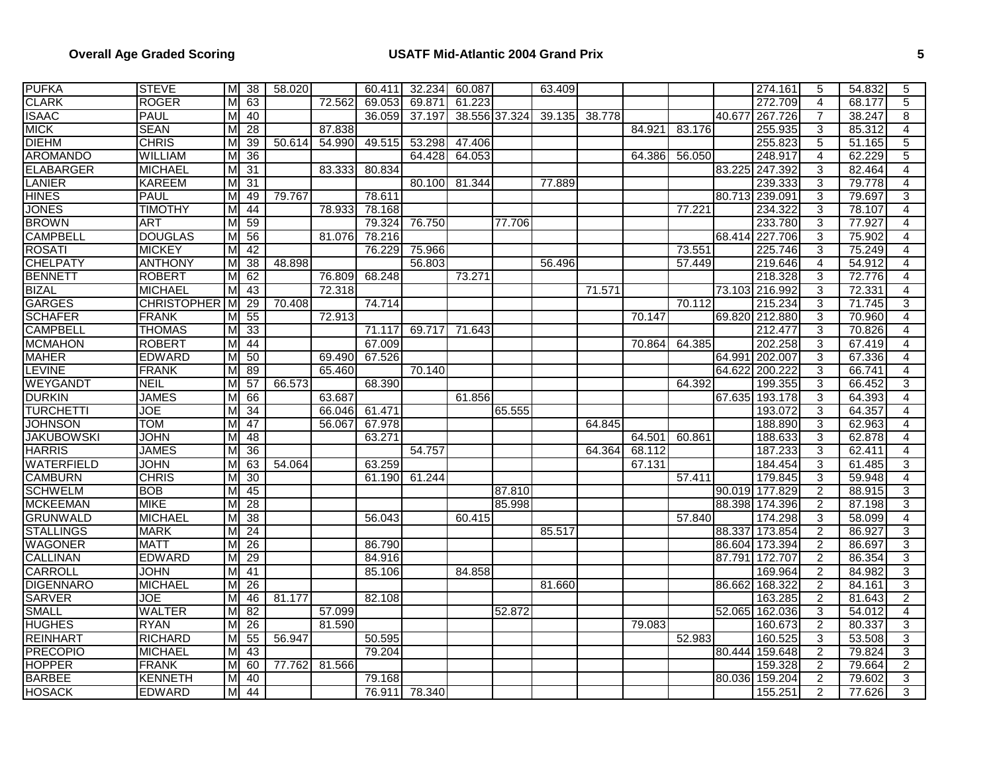| <b>PUFKA</b>      | <b>STEVE</b>       | M | 38 | 58.020 |        | 60.411 | 32.234 | 60.087        |        | 63.409 |        |        |        |        | 274.161        | 5              | 54.832 | 5              |
|-------------------|--------------------|---|----|--------|--------|--------|--------|---------------|--------|--------|--------|--------|--------|--------|----------------|----------------|--------|----------------|
| <b>CLARK</b>      | <b>ROGER</b>       | м | 63 |        | 72.562 | 69.053 | 69.871 | 61.223        |        |        |        |        |        |        | 272.709        | 4              | 68.177 | 5              |
| <b>ISAAC</b>      | <b>PAUL</b>        | м | 40 |        |        | 36.059 | 37.197 | 38.556 37.324 |        | 39.135 | 38.778 |        |        | 40.677 | 267.726        | $\overline{7}$ | 38.247 | 8              |
| <b>MICK</b>       | <b>SEAN</b>        | м | 28 |        | 87.838 |        |        |               |        |        |        | 84.921 | 83.176 |        | 255.935        | 3              | 85.312 | 4              |
| <b>DIEHM</b>      | <b>CHRIS</b>       | м | 39 | 50.614 | 54.990 | 49.515 | 53.298 | 47.406        |        |        |        |        |        |        | 255.823        | 5              | 51.165 | 5              |
| <b>AROMANDO</b>   | <b>WILLIAM</b>     | м | 36 |        |        |        | 64.428 | 64.053        |        |        |        | 64.386 | 56.050 |        | 248.917        | $\overline{4}$ | 62.229 | 5              |
| <b>ELABARGER</b>  | MICHAEL            | м | 31 |        | 83.333 | 80.834 |        |               |        |        |        |        |        | 83.225 | 247.392        | 3              | 82.464 | $\overline{4}$ |
| <b>LANIER</b>     | <b>KAREEM</b>      | M | 31 |        |        |        | 80.100 | 81.344        |        | 77.889 |        |        |        |        | 239.333        | 3              | 79.778 | 4              |
| <b>HINES</b>      | PAUL               | м | 49 | 79.767 |        | 78.611 |        |               |        |        |        |        |        |        | 80.713 239.091 | 3              | 79.697 | 3              |
| <b>JONES</b>      | <b>TIMOTHY</b>     | M | 44 |        | 78.933 | 78.168 |        |               |        |        |        |        | 77.221 |        | 234.322        | 3              | 78.107 | 4              |
| <b>BROWN</b>      | <b>ART</b>         | м | 59 |        |        | 79.324 | 76.750 |               | 77.706 |        |        |        |        |        | 233.780        | 3              | 77.927 | $\overline{4}$ |
| <b>CAMPBELL</b>   | <b>DOUGLAS</b>     | M | 56 |        | 81.076 | 78.216 |        |               |        |        |        |        |        | 68.414 | 227.706        | 3              | 75.902 | 4              |
| <b>ROSATI</b>     | <b>MICKEY</b>      | M | 42 |        |        | 76.229 | 75.966 |               |        |        |        |        | 73.551 |        | 225.746        | 3              | 75.249 | 4              |
| <b>CHELPATY</b>   | <b>ANTHONY</b>     | M | 38 | 48.898 |        |        | 56.803 |               |        | 56.496 |        |        | 57.449 |        | 219.646        | $\overline{4}$ | 54.912 | 4              |
| <b>BENNETT</b>    | <b>ROBERT</b>      | м | 62 |        | 76.809 | 68.248 |        | 73.271        |        |        |        |        |        |        | 218.328        | 3              | 72.776 | $\overline{4}$ |
| <b>BIZAL</b>      | <b>MICHAEL</b>     | M | 43 |        | 72.318 |        |        |               |        |        | 71.571 |        |        |        | 73.103 216.992 | 3              | 72.331 | 4              |
| <b>GARGES</b>     | <b>CHRISTOPHER</b> | M | 29 | 70.408 |        | 74.714 |        |               |        |        |        |        | 70.112 |        | 215.234        | 3              | 71.745 | 3              |
| <b>SCHAFER</b>    | <b>FRANK</b>       | м | 55 |        | 72.913 |        |        |               |        |        |        | 70.147 |        |        | 69.820 212.880 | 3              | 70.960 | 4              |
| <b>CAMPBELL</b>   | <b>THOMAS</b>      | м | 33 |        |        | 71.117 | 69.717 | 71.643        |        |        |        |        |        |        | 212.477        | 3              | 70.826 | $\overline{4}$ |
| <b>MCMAHON</b>    | <b>ROBERT</b>      | м | 44 |        |        | 67.009 |        |               |        |        |        | 70.864 | 64.385 |        | 202.258        | 3              | 67.419 | 4              |
| <b>MAHER</b>      | <b>EDWARD</b>      | M | 50 |        | 69.490 | 67.526 |        |               |        |        |        |        |        | 64.991 | 202.007        | 3              | 67.336 | 4              |
| <b>LEVINE</b>     | <b>FRANK</b>       | M | 89 |        | 65.460 |        | 70.140 |               |        |        |        |        |        |        | 64.622 200.222 | 3              | 66.741 | 4              |
| WEYGANDT          | <b>NEIL</b>        | м | 57 | 66.573 |        | 68.390 |        |               |        |        |        |        | 64.392 |        | 199.355        | 3              | 66.452 | 3              |
| <b>DURKIN</b>     | <b>JAMES</b>       | м | 66 |        | 63.687 |        |        | 61.856        |        |        |        |        |        |        | 67.635 193.178 | 3              | 64.393 | 4              |
| <b>TURCHETTI</b>  | <b>JOE</b>         | M | 34 |        | 66.046 | 61.471 |        |               | 65.555 |        |        |        |        |        | 193.072        | 3              | 64.357 | $\overline{4}$ |
| <b>JOHNSON</b>    | <b>TOM</b>         | м | 47 |        | 56.067 | 67.978 |        |               |        |        | 64.845 |        |        |        | 188.890        | 3              | 62.963 | 4              |
| <b>JAKUBOWSKI</b> | <b>JOHN</b>        | м | 48 |        |        | 63.271 |        |               |        |        |        | 64.501 | 60.861 |        | 188.633        | 3              | 62.878 | $\overline{4}$ |
| <b>HARRIS</b>     | <b>JAMES</b>       | м | 36 |        |        |        | 54.757 |               |        |        | 64.364 | 68.112 |        |        | 187.233        | 3              | 62.411 | $\overline{4}$ |
| <b>WATERFIELD</b> | <b>JOHN</b>        | М | 63 | 54.064 |        | 63.259 |        |               |        |        |        | 67.131 |        |        | 184.454        | 3              | 61.485 | 3              |
| <b>CAMBURN</b>    | <b>CHRIS</b>       | м | 30 |        |        | 61.190 | 61.244 |               |        |        |        |        | 57.411 |        | 179.845        | 3              | 59.948 | 4              |
| <b>SCHWELM</b>    | <b>BOB</b>         | м | 45 |        |        |        |        |               | 87.810 |        |        |        |        |        | 90.019 177.829 | $\overline{2}$ | 88.915 | 3              |
| <b>MCKEEMAN</b>   | <b>MIKE</b>        | м | 28 |        |        |        |        |               | 85.998 |        |        |        |        |        | 88.398 174.396 | 2              | 87.198 | $\overline{3}$ |
| <b>GRUNWALD</b>   | <b>MICHAEL</b>     | M | 38 |        |        | 56.043 |        | 60.415        |        |        |        |        | 57.840 |        | 174.298        | 3              | 58.099 | $\overline{4}$ |
| <b>STALLINGS</b>  | <b>MARK</b>        | M | 24 |        |        |        |        |               |        | 85.517 |        |        |        | 88.337 | 173.854        | $\overline{2}$ | 86.927 | 3              |
| <b>WAGONER</b>    | <b>MATT</b>        | м | 26 |        |        | 86.790 |        |               |        |        |        |        |        |        | 86.604 173.394 | $\overline{2}$ | 86.697 | 3              |
| <b>CALLINAN</b>   | <b>EDWARD</b>      | M | 29 |        |        | 84.916 |        |               |        |        |        |        |        | 87.791 | 172.707        | $\overline{2}$ | 86.354 | 3              |
| <b>CARROLL</b>    | <b>JOHN</b>        | M | 41 |        |        | 85.106 |        | 84.858        |        |        |        |        |        |        | 169.964        | $\overline{c}$ | 84.982 | 3              |
| <b>DIGENNARO</b>  | <b>MICHAEL</b>     | M | 26 |        |        |        |        |               |        | 81.660 |        |        |        |        | 86.662 168.322 | $\overline{2}$ | 84.161 | $\overline{3}$ |
| <b>SARVER</b>     | JOE                | м | 46 | 81.177 |        | 82.108 |        |               |        |        |        |        |        |        | 163.285        | $\overline{2}$ | 81.643 | $\overline{2}$ |
| <b>SMALL</b>      | <b>WALTER</b>      | M | 82 |        | 57.099 |        |        |               | 52.872 |        |        |        |        |        | 52.065 162.036 | 3              | 54.012 | 4              |
| <b>HUGHES</b>     | <b>RYAN</b>        | M | 26 |        | 81.590 |        |        |               |        |        |        | 79.083 |        |        | 160.673        | $\overline{2}$ | 80.337 | 3              |
| <b>REINHART</b>   | <b>RICHARD</b>     | M | 55 | 56.947 |        | 50.595 |        |               |        |        |        |        | 52.983 |        | 160.525        | 3              | 53.508 | 3              |
| <b>PRECOPIO</b>   | <b>MICHAEL</b>     | M | 43 |        |        | 79.204 |        |               |        |        |        |        |        | 80.444 | 159.648        | $\overline{2}$ | 79.824 | 3              |
| <b>HOPPER</b>     | <b>FRANK</b>       | м | 60 | 77.762 | 81.566 |        |        |               |        |        |        |        |        |        | 159.328        | $\overline{2}$ | 79.664 | $\overline{2}$ |
| <b>BARBEE</b>     | <b>KENNETH</b>     | М | 40 |        |        | 79.168 |        |               |        |        |        |        |        |        | 80.036 159.204 | $\overline{2}$ | 79.602 | 3              |
| <b>HOSACK</b>     | <b>EDWARD</b>      | M | 44 |        |        | 76.911 | 78.340 |               |        |        |        |        |        |        | 155.251        | $\overline{2}$ | 77.626 | 3              |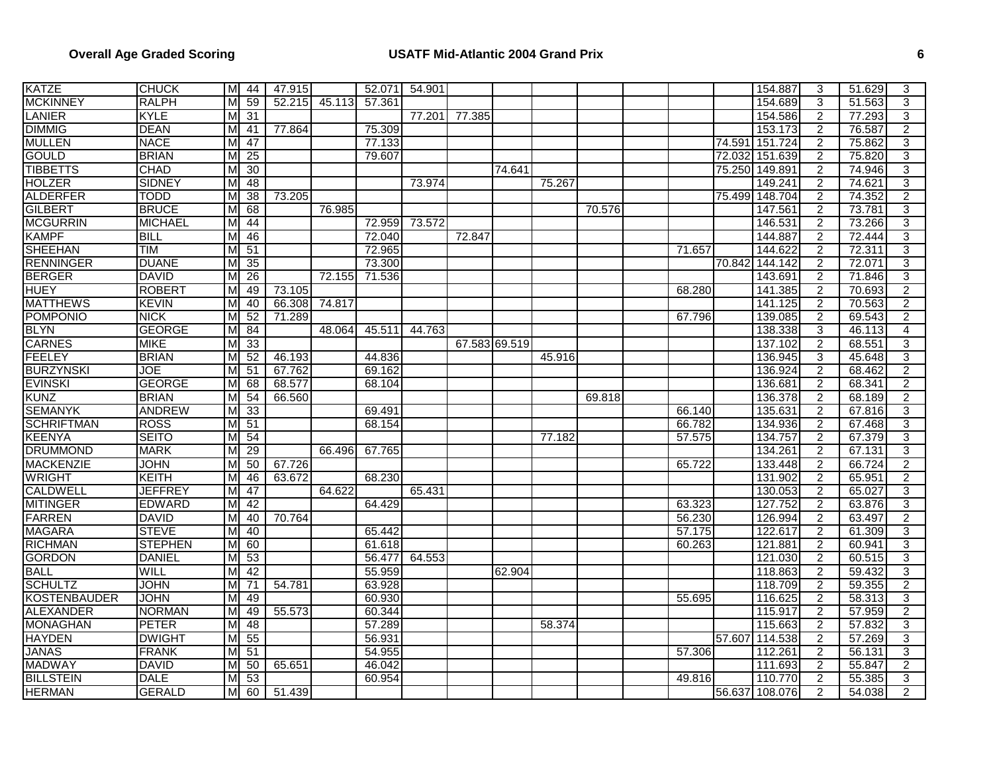| <b>KATZE</b>        | <b>CHUCK</b>   |    | M 44            | 47.915 |        | 52.071 | 54.901 |               |        |        |        |        |        | 154.887        | 3              | 51.629 | 3              |
|---------------------|----------------|----|-----------------|--------|--------|--------|--------|---------------|--------|--------|--------|--------|--------|----------------|----------------|--------|----------------|
| <b>MCKINNEY</b>     | <b>RALPH</b>   | м  | 59              | 52.215 | 45.113 | 57.361 |        |               |        |        |        |        |        | 154.689        | 3              | 51.563 | 3              |
| LANIER              | KYLE           | м  | $\overline{31}$ |        |        |        | 77.201 | 77.385        |        |        |        |        |        | 154.586        | $\overline{c}$ | 77.293 | 3              |
| <b>DIMMIG</b>       | <b>DEAN</b>    | M  | 41              | 77.864 |        | 75.309 |        |               |        |        |        |        |        | 153.173        | $\overline{2}$ | 76.587 | $\overline{2}$ |
| <b>MULLEN</b>       | <b>NACE</b>    | M  | 47              |        |        | 77.133 |        |               |        |        |        |        | 74.591 | 151.724        | $\overline{c}$ | 75.862 | 3              |
| <b>GOULD</b>        | <b>BRIAN</b>   | м  | 25              |        |        | 79.607 |        |               |        |        |        |        |        | 72.032 151.639 | $\overline{2}$ | 75.820 | $\overline{3}$ |
| <b>TIBBETTS</b>     | <b>CHAD</b>    | м  | 30              |        |        |        |        |               | 74.641 |        |        |        |        | 75.250 149.891 | $\overline{2}$ | 74.946 | $\overline{3}$ |
| <b>HOLZER</b>       | <b>SIDNEY</b>  | M  | 48              |        |        |        | 73.974 |               |        | 75.267 |        |        |        | 149.241        | 2              | 74.621 | $\overline{3}$ |
| <b>ALDERFER</b>     | <b>TODD</b>    | M  | 38              | 73.205 |        |        |        |               |        |        |        |        |        | 75.499 148.704 | $\overline{2}$ | 74.352 | $\overline{2}$ |
| <b>GILBERT</b>      | <b>BRUCE</b>   | м  | 68              |        | 76.985 |        |        |               |        |        | 70.576 |        |        | 147.561        | $\overline{c}$ | 73.781 | 3              |
| <b>MCGURRIN</b>     | MICHAEL        | м  | 44              |        |        | 72.959 | 73.572 |               |        |        |        |        |        | 146.531        | $\overline{c}$ | 73.266 | $\overline{3}$ |
| <b>KAMPF</b>        | <b>BILL</b>    | М  | 46              |        |        | 72.040 |        | 72.847        |        |        |        |        |        | 144.887        | $\overline{c}$ | 72.444 | 3              |
| <b>SHEEHAN</b>      | <b>TIM</b>     | M  | 51              |        |        | 72.965 |        |               |        |        |        | 71.657 |        | 144.622        | $\overline{2}$ | 72.311 | $\overline{3}$ |
| <b>RENNINGER</b>    | <b>DUANE</b>   | М  | 35              |        |        | 73.300 |        |               |        |        |        |        | 70.842 | 144.142        | $\overline{2}$ | 72.071 | 3              |
| <b>BERGER</b>       | <b>DAVID</b>   | м  | 26              |        | 72.155 | 71.536 |        |               |        |        |        |        |        | 143.691        | $\overline{2}$ | 71.846 | $\overline{3}$ |
| <b>HUEY</b>         | <b>ROBERT</b>  | М  | 49              | 73.105 |        |        |        |               |        |        |        | 68.280 |        | 141.385        | $\overline{2}$ | 70.693 | $\overline{2}$ |
| <b>MATTHEWS</b>     | <b>KEVIN</b>   | M  | 40              | 66.308 | 74.817 |        |        |               |        |        |        |        |        | 141.125        | $\overline{2}$ | 70.563 | $\overline{2}$ |
| <b>POMPONIO</b>     | <b>NICK</b>    | м  | 52              | 71.289 |        |        |        |               |        |        |        | 67.796 |        | 139.085        | $\overline{c}$ | 69.543 | $\overline{2}$ |
| <b>BLYN</b>         | <b>GEORGE</b>  | м  | 84              |        | 48.064 | 45.511 | 44.763 |               |        |        |        |        |        | 138.338        | $\overline{3}$ | 46.113 | $\overline{4}$ |
| <b>CARNES</b>       | <b>MIKE</b>    | м  | 33              |        |        |        |        | 67.583 69.519 |        |        |        |        |        | 137.102        | 2              | 68.551 | 3              |
| <b>FEELEY</b>       | <b>BRIAN</b>   | М  | 52              | 46.193 |        | 44.836 |        |               |        | 45.916 |        |        |        | 136.945        | 3              | 45.648 | $\overline{3}$ |
| <b>BURZYNSKI</b>    | <b>JOE</b>     | м  | 51              | 67.762 |        | 69.162 |        |               |        |        |        |        |        | 136.924        | $\overline{2}$ | 68.462 | $\overline{2}$ |
| <b>EVINSKI</b>      | <b>GEORGE</b>  | м  | 68              | 68.577 |        | 68.104 |        |               |        |        |        |        |        | 136.681        | $\overline{2}$ | 68.341 | $\overline{2}$ |
| <b>KUNZ</b>         | <b>BRIAN</b>   | М  | 54              | 66.560 |        |        |        |               |        |        | 69.818 |        |        | 136.378        | $\overline{2}$ | 68.189 | $\overline{2}$ |
| <b>SEMANYK</b>      | <b>ANDREW</b>  | M  | 33              |        |        | 69.491 |        |               |        |        |        | 66.140 |        | 135.631        | $\overline{2}$ | 67.816 | 3              |
| <b>SCHRIFTMAN</b>   | <b>ROSS</b>    | M  | 51              |        |        | 68.154 |        |               |        |        |        | 66.782 |        | 134.936        | $\overline{2}$ | 67.468 | $\overline{3}$ |
| <b>KEENYA</b>       | <b>SEITO</b>   | м  | 54              |        |        |        |        |               |        | 77.182 |        | 57.575 |        | 134.757        | $\overline{2}$ | 67.379 | $\overline{3}$ |
| <b>DRUMMOND</b>     | <b>MARK</b>    | м  | 29              |        | 66.496 | 67.765 |        |               |        |        |        |        |        | 134.261        | 2              | 67.131 | 3              |
| <b>MACKENZIE</b>    | <b>JOHN</b>    |    | 50              | 67.726 |        |        |        |               |        |        |        | 65.722 |        | 133.448        | $\overline{c}$ | 66.724 | $\overline{2}$ |
| <b>WRIGHT</b>       | KEITH          | М  | 46              | 63.672 |        | 68.230 |        |               |        |        |        |        |        | 131.902        | $\overline{2}$ | 65.951 | $\overline{2}$ |
| <b>CALDWELL</b>     | <b>JEFFREY</b> | м  | 47              |        | 64.622 |        | 65.431 |               |        |        |        |        |        | 130.053        | $\overline{2}$ | 65.027 | 3              |
| <b>MITINGER</b>     | <b>EDWARD</b>  | M  | 42              |        |        | 64.429 |        |               |        |        |        | 63.323 |        | 127.752        | $\overline{2}$ | 63.876 | $\overline{3}$ |
| <b>FARREN</b>       | <b>DAVID</b>   | M  | 40              | 70.764 |        |        |        |               |        |        |        | 56.230 |        | 126.994        | $\overline{2}$ | 63.497 | $\overline{2}$ |
| <b>MAGARA</b>       | <b>STEVE</b>   | м  | 40              |        |        | 65.442 |        |               |        |        |        | 57.175 |        | 122.617        | $\overline{2}$ | 61.309 | 3              |
| <b>RICHMAN</b>      | <b>STEPHEN</b> | м  | 60              |        |        | 61.618 |        |               |        |        |        | 60.263 |        | 121.881        | $\overline{2}$ | 60.941 | $\overline{3}$ |
| <b>GORDON</b>       | <b>DANIEL</b>  | м  | 53              |        |        | 56.477 | 64.553 |               |        |        |        |        |        | 121.030        | $\overline{2}$ | 60.515 | $\overline{3}$ |
| <b>BALL</b>         | WILL           | М  | 42              |        |        | 55.959 |        |               | 62.904 |        |        |        |        | 118.863        | $\overline{c}$ | 59.432 | 3              |
| <b>SCHULTZ</b>      | <b>JOHN</b>    | M  | 71              | 54.781 |        | 63.928 |        |               |        |        |        |        |        | 118.709        | $\overline{2}$ | 59.355 | $\overline{2}$ |
| <b>KOSTENBAUDER</b> | <b>JOHN</b>    | м  | 49              |        |        | 60.930 |        |               |        |        |        | 55.695 |        | 116.625        | $\overline{2}$ | 58.313 | $\overline{3}$ |
| ALEXANDER           | <b>NORMAN</b>  | M  | 49              | 55.573 |        | 60.344 |        |               |        |        |        |        |        | 115.917        | $\overline{c}$ | 57.959 | $\overline{2}$ |
| <b>MONAGHAN</b>     | <b>PETER</b>   | м  | 48              |        |        | 57.289 |        |               |        | 58.374 |        |        |        | 115.663        | $\overline{2}$ | 57.832 | 3              |
| <b>HAYDEN</b>       | <b>DWIGHT</b>  | M  | 55              |        |        | 56.931 |        |               |        |        |        |        |        | 57.607 114.538 | $\overline{c}$ | 57.269 | 3              |
| <b>JANAS</b>        | <b>FRANK</b>   | МΙ | 51              |        |        | 54.955 |        |               |        |        |        | 57.306 |        | 112.261        | $\overline{2}$ | 56.131 | 3              |
| <b>MADWAY</b>       | <b>DAVID</b>   | M  | 50              | 65.651 |        | 46.042 |        |               |        |        |        |        |        | 111.693        | $\overline{c}$ | 55.847 | $\overline{2}$ |
| <b>BILLSTEIN</b>    | <b>DALE</b>    | м  | 53              |        |        | 60.954 |        |               |        |        |        | 49.816 |        | 110.770        | 2              | 55.385 | 3              |
| <b>HERMAN</b>       | <b>GERALD</b>  | M  | 60              | 51.439 |        |        |        |               |        |        |        |        |        | 56.637 108.076 | $\overline{c}$ | 54.038 | $\overline{2}$ |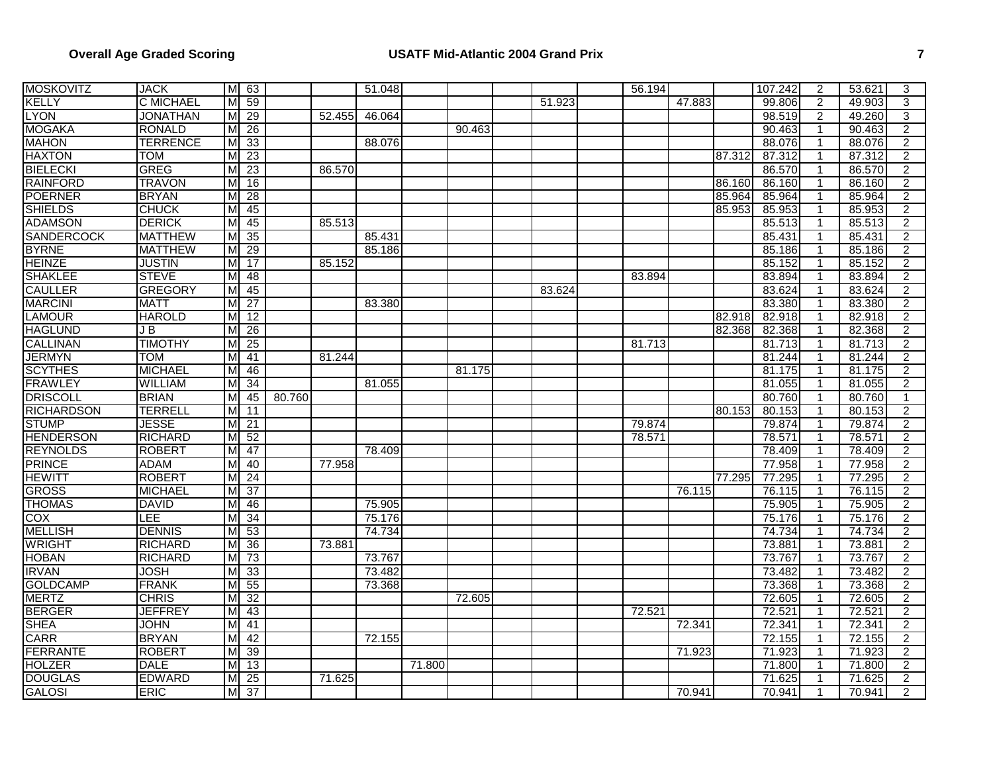| <b>MOSKOVITZ</b>  | <b>JACK</b>      |    | M 63            |        |        | 51.048 |        |        |        | 56.194 |        |        | 107.242 | 2              | 53.621 | 3              |
|-------------------|------------------|----|-----------------|--------|--------|--------|--------|--------|--------|--------|--------|--------|---------|----------------|--------|----------------|
| <b>KELLY</b>      | <b>C MICHAEL</b> | мI | 59              |        |        |        |        |        | 51.923 |        | 47.883 |        | 99.806  | $\overline{2}$ | 49.903 | 3              |
| <b>LYON</b>       | <b>JONATHAN</b>  | мі | 29              |        | 52.455 | 46.064 |        |        |        |        |        |        | 98.519  | $\overline{2}$ | 49.260 | 3              |
| <b>MOGAKA</b>     | <b>RONALD</b>    | M  | $\overline{26}$ |        |        |        |        | 90.463 |        |        |        |        | 90.463  | $\mathbf{1}$   | 90.463 | $\overline{2}$ |
| <b>MAHON</b>      | <b>TERRENCE</b>  | M  | 33              |        |        | 88.076 |        |        |        |        |        |        | 88.076  | $\mathbf{1}$   | 88.076 | $\overline{2}$ |
| <b>HAXTON</b>     | <b>TOM</b>       | M  | 23              |        |        |        |        |        |        |        |        | 87.312 | 87.312  | $\mathbf{1}$   | 87.312 | $\overline{2}$ |
| <b>BIELECKI</b>   | <b>GREG</b>      | М  | 23              |        | 86.570 |        |        |        |        |        |        |        | 86.570  |                | 86.570 | $\overline{2}$ |
| <b>RAINFORD</b>   | <b>TRAVON</b>    | M  | 16              |        |        |        |        |        |        |        |        | 86.160 | 86.160  | 1              | 86.160 | $\overline{2}$ |
| <b>POERNER</b>    | <b>BRYAN</b>     | м  | 28              |        |        |        |        |        |        |        |        | 85.964 | 85.964  | $\mathbf{1}$   | 85.964 | $\overline{2}$ |
| <b>SHIELDS</b>    | <b>CHUCK</b>     | м  | 45              |        |        |        |        |        |        |        |        | 85.953 | 85.953  | $\mathbf{1}$   | 85.953 | $\overline{2}$ |
| <b>ADAMSON</b>    | <b>DERICK</b>    | м  | 45              |        | 85.513 |        |        |        |        |        |        |        | 85.513  | 1              | 85.513 | $\overline{2}$ |
| <b>SANDERCOCK</b> | <b>MATTHEW</b>   | м  | $\overline{35}$ |        |        | 85.431 |        |        |        |        |        |        | 85.431  | 1              | 85.431 | $\overline{2}$ |
| <b>BYRNE</b>      | <b>MATTHEW</b>   | M  | 29              |        |        | 85.186 |        |        |        |        |        |        | 85.186  | $\mathbf{1}$   | 85.186 | $\overline{2}$ |
| <b>HEINZE</b>     | <b>JUSTIN</b>    | M  | 17              |        | 85.152 |        |        |        |        |        |        |        | 85.152  | $\mathbf{1}$   | 85.152 | $\overline{2}$ |
| <b>SHAKLEE</b>    | <b>STEVE</b>     | M  | 48              |        |        |        |        |        |        | 83.894 |        |        | 83.894  |                | 83.894 | $\overline{2}$ |
| <b>CAULLER</b>    | <b>GREGORY</b>   | MI | 45              |        |        |        |        |        | 83.624 |        |        |        | 83.624  | $\mathbf{1}$   | 83.624 | $\overline{2}$ |
| <b>MARCINI</b>    | <b>MATT</b>      | M  | 27              |        |        | 83.380 |        |        |        |        |        |        | 83.380  | $\mathbf{1}$   | 83.380 | $\overline{2}$ |
| <b>LAMOUR</b>     | <b>HAROLD</b>    | M  | 12              |        |        |        |        |        |        |        |        | 82.918 | 82.918  | 1              | 82.918 | $\overline{2}$ |
| <b>HAGLUND</b>    | JB               | M  | 26              |        |        |        |        |        |        |        |        | 82.368 | 82.368  | 1              | 82.368 | $\overline{2}$ |
| <b>CALLINAN</b>   | <b>TIMOTHY</b>   | м  | 25              |        |        |        |        |        |        | 81.713 |        |        | 81.713  | $\mathbf{1}$   | 81.713 | $\overline{2}$ |
| <b>JERMYN</b>     | TOM              | M  | 41              |        | 81.244 |        |        |        |        |        |        |        | 81.244  | 1              | 81.244 | 2              |
| <b>SCYTHES</b>    | <b>MICHAEL</b>   | M  | 46              |        |        |        |        | 81.175 |        |        |        |        | 81.175  | $\mathbf{1}$   | 81.175 | $\overline{2}$ |
| <b>FRAWLEY</b>    | <b>WILLIAM</b>   | M  | 34              |        |        | 81.055 |        |        |        |        |        |        | 81.055  |                | 81.055 | $\overline{2}$ |
| <b>DRISCOLL</b>   | <b>BRIAN</b>     | M  | 45              | 80.760 |        |        |        |        |        |        |        |        | 80.760  | $\mathbf{1}$   | 80.760 | $\mathbf{1}$   |
| <b>RICHARDSON</b> | <b>TERRELL</b>   | M  | 11              |        |        |        |        |        |        |        |        | 80.153 | 80.153  | $\mathbf{1}$   | 80.153 | $\overline{2}$ |
| <b>STUMP</b>      | JESSE            | M  | 21              |        |        |        |        |        |        | 79.874 |        |        | 79.874  | 1              | 79.874 | $\overline{2}$ |
| <b>HENDERSON</b>  | <b>RICHARD</b>   |    | M <sub>52</sub> |        |        |        |        |        |        | 78.571 |        |        | 78.571  | 1              | 78.571 | $\overline{2}$ |
| <b>REYNOLDS</b>   | <b>ROBERT</b>    | M  | 47              |        |        | 78.409 |        |        |        |        |        |        | 78.409  | $\mathbf{1}$   | 78.409 | $\overline{2}$ |
| <b>PRINCE</b>     | <b>ADAM</b>      | M  | 40              |        | 77.958 |        |        |        |        |        |        |        | 77.958  | 1              | 77.958 | 2              |
| <b>HEWITT</b>     | <b>ROBERT</b>    | MI | 24              |        |        |        |        |        |        |        |        | 77.295 | 77.295  | 1              | 77.295 | 2              |
| <b>GROSS</b>      | <b>MICHAEL</b>   | M  | $\overline{37}$ |        |        |        |        |        |        |        | 76.115 |        | 76.115  | $\mathbf{1}$   | 76.115 | $\overline{2}$ |
| <b>THOMAS</b>     | <b>DAVID</b>     | M  | 46              |        |        | 75.905 |        |        |        |        |        |        | 75.905  | 1              | 75.905 | $\overline{2}$ |
| <b>COX</b>        | LEE              | M  | 34              |        |        | 75.176 |        |        |        |        |        |        | 75.176  | $\mathbf{1}$   | 75.176 | $\overline{2}$ |
| <b>MELLISH</b>    | <b>DENNIS</b>    | мі | 53              |        |        | 74.734 |        |        |        |        |        |        | 74.734  | 1              | 74.734 | $\overline{2}$ |
| <b>WRIGHT</b>     | <b>RICHARD</b>   | M  | 36              |        | 73.881 |        |        |        |        |        |        |        | 73.881  | $\mathbf{1}$   | 73.881 | $\overline{2}$ |
| <b>HOBAN</b>      | <b>RICHARD</b>   | MI | 73              |        |        | 73.767 |        |        |        |        |        |        | 73.767  | $\mathbf{1}$   | 73.767 | $\overline{2}$ |
| <b>IRVAN</b>      | <b>JOSH</b>      | M  | 33              |        |        | 73.482 |        |        |        |        |        |        | 73.482  | $\mathbf{1}$   | 73.482 | $\overline{2}$ |
| <b>GOLDCAMP</b>   | <b>FRANK</b>     | M  | 55              |        |        | 73.368 |        |        |        |        |        |        | 73.368  | 1              | 73.368 | $\overline{2}$ |
| <b>MERTZ</b>      | <b>CHRIS</b>     | M  | 32              |        |        |        |        | 72.605 |        |        |        |        | 72.605  | $\mathbf{1}$   | 72.605 | $\overline{2}$ |
| <b>BERGER</b>     | <b>JEFFREY</b>   | M  | 43              |        |        |        |        |        |        | 72.521 |        |        | 72.521  | $\mathbf{1}$   | 72.521 | $\overline{2}$ |
| <b>SHEA</b>       | <b>JOHN</b>      | M  | 41              |        |        |        |        |        |        |        | 72.341 |        | 72.341  | $\mathbf{1}$   | 72.341 | $\overline{2}$ |
| <b>CARR</b>       | <b>BRYAN</b>     | м  | 42              |        |        | 72.155 |        |        |        |        |        |        | 72.155  | 1              | 72.155 | $\overline{2}$ |
| <b>FERRANTE</b>   | <b>ROBERT</b>    | MI | 39              |        |        |        |        |        |        |        | 71.923 |        | 71.923  | $\mathbf{1}$   | 71.923 | $\overline{2}$ |
| <b>HOLZER</b>     | <b>DALE</b>      | M  | 13              |        |        |        | 71.800 |        |        |        |        |        | 71.800  | $\mathbf{1}$   | 71.800 | 2              |
| <b>DOUGLAS</b>    | <b>EDWARD</b>    | MI | $\overline{25}$ |        | 71.625 |        |        |        |        |        |        |        | 71.625  | 1              | 71.625 | $\overline{2}$ |
| <b>GALOSI</b>     | <b>ERIC</b>      | M  | 37              |        |        |        |        |        |        |        | 70.941 |        | 70.941  | 1              | 70.941 | 2              |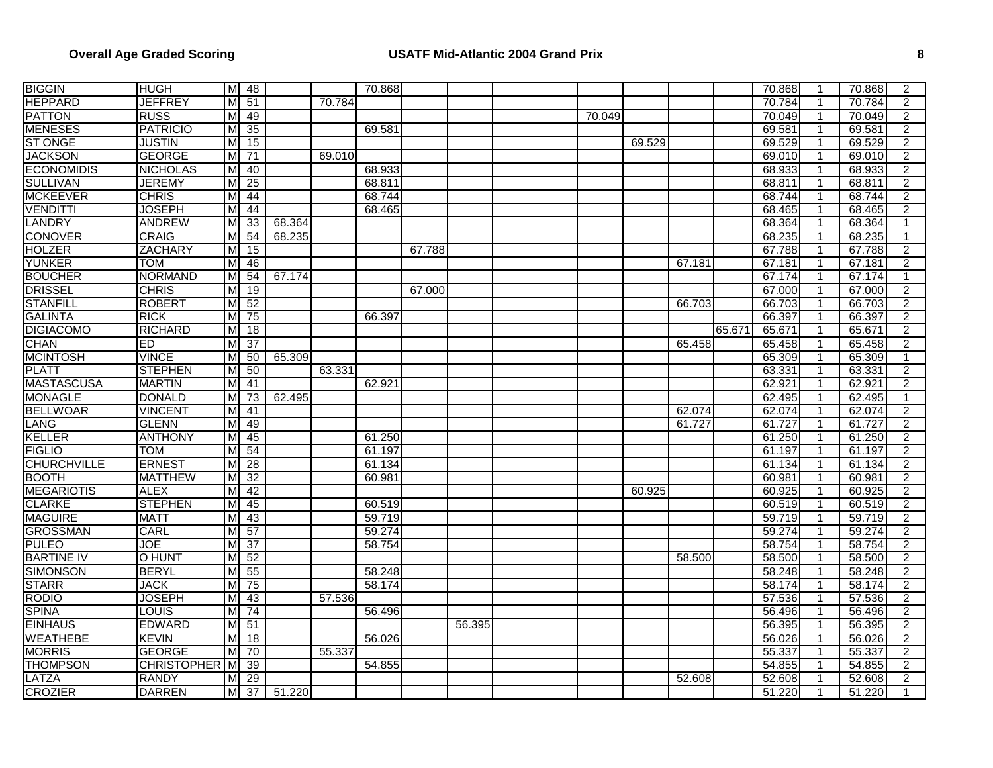## **Overall Age Graded Scoring USATF Mid-Atlantic 2004 Grand Prix 8**

| <b>BIGGIN</b>      | <b>HUGH</b>        |                         | M 48            |        |        | 70.868 |        |        |        |        |        |        | 70.868 | -1             | 70.868 | $\overline{2}$ |
|--------------------|--------------------|-------------------------|-----------------|--------|--------|--------|--------|--------|--------|--------|--------|--------|--------|----------------|--------|----------------|
| <b>HEPPARD</b>     | <b>JEFFREY</b>     | мI                      | 51              |        | 70.784 |        |        |        |        |        |        |        | 70.784 | -1             | 70.784 | $\overline{2}$ |
| <b>PATTON</b>      | <b>RUSS</b>        | M                       | 49              |        |        |        |        |        | 70.049 |        |        |        | 70.049 | $\overline{1}$ | 70.049 | $\overline{2}$ |
| <b>MENESES</b>     | <b>PATRICIO</b>    | M                       | 35              |        |        | 69.581 |        |        |        |        |        |        | 69.581 | $\mathbf{1}$   | 69.581 | $\overline{2}$ |
| <b>ST ONGE</b>     | <b>JUSTIN</b>      | M                       | 15              |        |        |        |        |        |        | 69.529 |        |        | 69.529 | $\overline{1}$ | 69.529 | $\overline{2}$ |
| <b>JACKSON</b>     | <b>GEORGE</b>      | M                       | 71              |        | 69.010 |        |        |        |        |        |        |        | 69.010 | $\overline{1}$ | 69.010 | $\overline{2}$ |
| <b>ECONOMIDIS</b>  | <b>NICHOLAS</b>    | M                       | 40              |        |        | 68.933 |        |        |        |        |        |        | 68.933 |                | 68.933 | $\overline{2}$ |
| <b>SULLIVAN</b>    | <b>JEREMY</b>      | M                       | $\overline{25}$ |        |        | 68.811 |        |        |        |        |        |        | 68.811 | -1             | 68.811 | $\overline{2}$ |
| <b>MCKEEVER</b>    | <b>CHRIS</b>       | M                       | 44              |        |        | 68.744 |        |        |        |        |        |        | 68.744 | $\mathbf{1}$   | 68.744 | $\overline{2}$ |
| <b>VENDITTI</b>    | <b>JOSEPH</b>      | мI                      | 44              |        |        | 68.465 |        |        |        |        |        |        | 68.465 | $\mathbf 1$    | 68.465 | $\overline{2}$ |
| <b>LANDRY</b>      | <b>ANDREW</b>      | M                       | 33              | 68.364 |        |        |        |        |        |        |        |        | 68.364 | 1              | 68.364 | $\mathbf{1}$   |
| <b>CONOVER</b>     | <b>CRAIG</b>       | м                       | 54              | 68.235 |        |        |        |        |        |        |        |        | 68.235 | -1             | 68.235 | $\mathbf{1}$   |
| <b>HOLZER</b>      | <b>ZACHARY</b>     | M                       | 15              |        |        |        | 67.788 |        |        |        |        |        | 67.788 | $\overline{1}$ | 67.788 | $\overline{2}$ |
| <b>YUNKER</b>      | <b>TOM</b>         | M                       | 46              |        |        |        |        |        |        |        | 67.181 |        | 67.181 | $\mathbf{1}$   | 67.181 | $\overline{2}$ |
| <b>BOUCHER</b>     | <b>NORMAND</b>     | M                       | 54              | 67.174 |        |        |        |        |        |        |        |        | 67.174 |                | 67.174 | $\mathbf{1}$   |
| <b>DRISSEL</b>     | <b>CHRIS</b>       | мI                      | 19              |        |        |        | 67.000 |        |        |        |        |        | 67.000 | $\mathbf{1}$   | 67.000 | $\overline{2}$ |
| <b>STANFILL</b>    | <b>ROBERT</b>      | M                       | 52              |        |        |        |        |        |        |        | 66.703 |        | 66.703 | $\mathbf{1}$   | 66.703 | $\overline{2}$ |
| <b>GALINTA</b>     | RICK               | мI                      | 75              |        |        | 66.397 |        |        |        |        |        |        | 66.397 | $\mathbf{1}$   | 66.397 | $\overline{2}$ |
| <b>DIGIACOMO</b>   | <b>RICHARD</b>     | M                       | 18              |        |        |        |        |        |        |        |        | 65.671 | 65.671 | 1              | 65.671 | $\overline{2}$ |
| <b>CHAN</b>        | ED                 | M                       | $\overline{37}$ |        |        |        |        |        |        |        | 65.458 |        | 65.458 | $\mathbf 1$    | 65.458 | $\overline{2}$ |
| <b>MCINTOSH</b>    | <b>VINCE</b>       | M                       | 50              | 65.309 |        |        |        |        |        |        |        |        | 65.309 | $\overline{1}$ | 65.309 | $\mathbf{1}$   |
| <b>PLATT</b>       | <b>STEPHEN</b>     | M                       | 50              |        | 63.331 |        |        |        |        |        |        |        | 63.331 | $\mathbf{1}$   | 63.331 | $\overline{2}$ |
| <b>MASTASCUSA</b>  | <b>MARTIN</b>      | M                       | 41              |        |        | 62.921 |        |        |        |        |        |        | 62.921 |                | 62.921 | $\overline{2}$ |
| <b>MONAGLE</b>     | <b>DONALD</b>      | M                       | $\overline{73}$ | 62.495 |        |        |        |        |        |        |        |        | 62.495 | -1             | 62.495 | $\mathbf{1}$   |
| <b>BELLWOAR</b>    | <b>VINCENT</b>     | M                       | 41              |        |        |        |        |        |        |        | 62.074 |        | 62.074 | $\mathbf{1}$   | 62.074 | $\overline{2}$ |
| LANG               | <b>GLENN</b>       | мI                      | 49              |        |        |        |        |        |        |        | 61.727 |        | 61.727 | $\mathbf 1$    | 61.727 | $\overline{2}$ |
| KELLER             | <b>ANTHONY</b>     | M                       | 45              |        |        | 61.250 |        |        |        |        |        |        | 61.250 | 1              | 61.250 | $\overline{2}$ |
| <b>FIGLIO</b>      | <b>TOM</b>         | M                       | 54              |        |        | 61.197 |        |        |        |        |        |        | 61.197 | $\mathbf 1$    | 61.197 | $\overline{2}$ |
| <b>CHURCHVILLE</b> | <b>ERNEST</b>      | M                       | 28              |        |        | 61.134 |        |        |        |        |        |        | 61.134 | $\mathbf{1}$   | 61.134 | $\overline{2}$ |
| <b>BOOTH</b>       | <b>MATTHEW</b>     | M                       | $\overline{32}$ |        |        | 60.981 |        |        |        |        |        |        | 60.981 | $\mathbf 1$    | 60.981 | $\overline{2}$ |
| <b>MEGARIOTIS</b>  | <b>ALEX</b>        | $\overline{M}$          | 42              |        |        |        |        |        |        | 60.925 |        |        | 60.925 |                | 60.925 | $\overline{2}$ |
| <b>CLARKE</b>      | <b>STEPHEN</b>     | MI                      | $\overline{45}$ |        |        | 60.519 |        |        |        |        |        |        | 60.519 | $\mathbf 1$    | 60.519 | $\overline{2}$ |
| <b>MAGUIRE</b>     | <b>MATT</b>        | $\overline{M}$          | 43              |        |        | 59.719 |        |        |        |        |        |        | 59.719 | $\mathbf{1}$   | 59.719 | $\overline{2}$ |
| <b>GROSSMAN</b>    | CARL               | $\overline{\mathsf{M}}$ | 57              |        |        | 59.274 |        |        |        |        |        |        | 59.274 | $\mathbf{1}$   | 59.274 | $\overline{2}$ |
| <b>PULEO</b>       | JOE                | M                       | 37              |        |        | 58.754 |        |        |        |        |        |        | 58.754 | 1              | 58.754 | $\overline{2}$ |
| <b>BARTINE IV</b>  | <b>O HUNT</b>      | M                       | $\overline{52}$ |        |        |        |        |        |        |        | 58.500 |        | 58.500 | $\mathbf 1$    | 58.500 | $\overline{2}$ |
| <b>SIMONSON</b>    | <b>BERYL</b>       | M                       | 55              |        |        | 58.248 |        |        |        |        |        |        | 58.248 | $\mathbf{1}$   | 58.248 | $\overline{2}$ |
| <b>STARR</b>       | <b>JACK</b>        | M                       | 75              |        |        | 58.174 |        |        |        |        |        |        | 58.174 | $\overline{1}$ | 58.174 | $\overline{2}$ |
| <b>RODIO</b>       | <b>JOSEPH</b>      | м                       | 43              |        | 57.536 |        |        |        |        |        |        |        | 57.536 | 1              | 57.536 | $\overline{2}$ |
| <b>SPINA</b>       | LOUIS              | M                       | 74              |        |        | 56.496 |        |        |        |        |        |        | 56.496 | $\mathbf{1}$   | 56.496 | $\overline{2}$ |
| <b>EINHAUS</b>     | <b>EDWARD</b>      | мΙ                      | 51              |        |        |        |        | 56.395 |        |        |        |        | 56.395 | $\mathbf{1}$   | 56.395 | $\overline{2}$ |
| <b>WEATHEBE</b>    | KEVIN              | мI                      | 18              |        |        | 56.026 |        |        |        |        |        |        | 56.026 | $\mathbf{1}$   | 56.026 | $\overline{2}$ |
| <b>MORRIS</b>      | <b>GEORGE</b>      | мΙ                      | 70              |        | 55.337 |        |        |        |        |        |        |        | 55.337 | 1              | 55.337 | $\overline{2}$ |
| <b>THOMPSON</b>    | <b>CHRISTOPHER</b> | M                       | 39              |        |        | 54.855 |        |        |        |        |        |        | 54.855 | $\mathbf{1}$   | 54.855 | $\overline{2}$ |
| LATZA              | <b>RANDY</b>       | мI                      | 29              |        |        |        |        |        |        |        | 52.608 |        | 52.608 | 1              | 52.608 | $\overline{2}$ |
| <b>CROZIER</b>     | <b>DARREN</b>      | M                       | 37              | 51.220 |        |        |        |        |        |        |        |        | 51.220 | $\overline{1}$ | 51.220 | $\mathbf{1}$   |